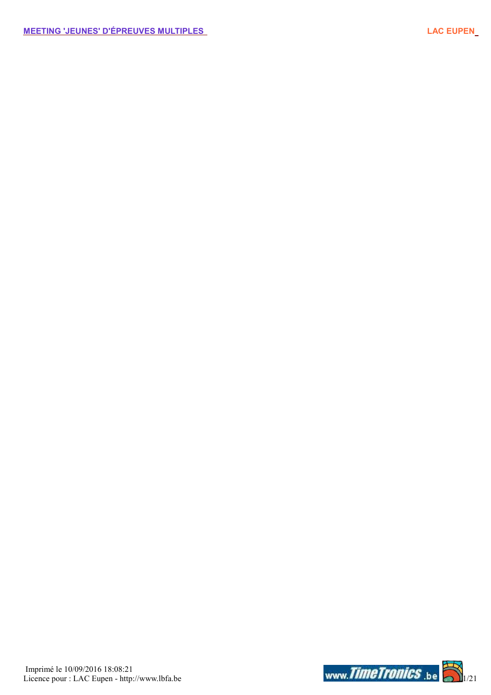

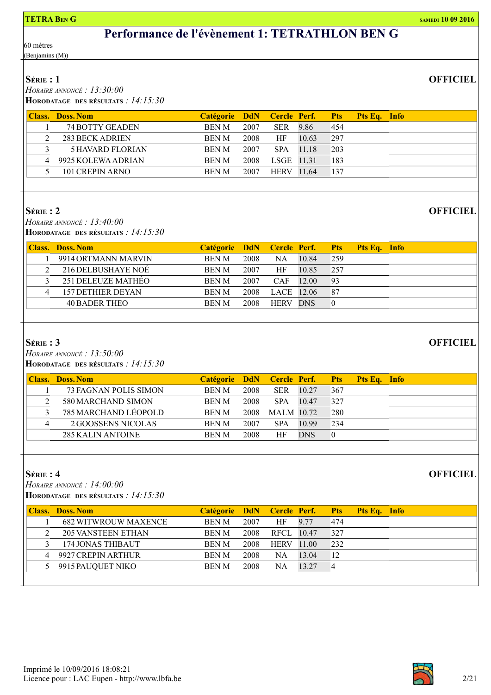### Performance de l'évènement 1: TETRATHLON BEN G

60 mètres

(Benjamins (M))

#### SÉRIE : 1

 *HORAIRE ANNONCÉ : 13:30:00* HORODATAGE DES RÉSULTATS *: 14:15:30*

| <b>Class. Doss. Nom</b> |              |      |                   |           |     | Catégorie DdN Cercle Perf. Pts Pts Eq. Info |
|-------------------------|--------------|------|-------------------|-----------|-----|---------------------------------------------|
| 74 BOTTY GEADEN         | <b>BEN M</b> | 2007 | SER 9.86          |           | 454 |                                             |
| 283 BECK ADRIEN         | <b>BEN M</b> | 2008 | <b>HF</b>         | 10.63     | 297 |                                             |
| <b>5 HAVARD FLORIAN</b> | <b>BEN M</b> | 2007 |                   | SPA 11.18 | 203 |                                             |
| 4 9925 KOLEWA ADRIAN    | <b>BEN M</b> | 2008 | LSGE 11.31        |           | 183 |                                             |
| 101 CREPIN ARNO         | <b>BEN M</b> | 2007 | <b>HERV</b> 11.64 |           | 137 |                                             |
|                         |              |      |                   |           |     |                                             |

#### SÉRIE : 2

 *HORAIRE ANNONCÉ : 13:40:00*

| <b>HORODATAGE DES RÉSULTATS</b> : $14:15:30$ |  |
|----------------------------------------------|--|
|                                              |  |

| <b>Class. Doss. Nom</b> | Catégorie DdN Cercle Perf. Pts Pts Eq. Info |      |                 |       |     |  |
|-------------------------|---------------------------------------------|------|-----------------|-------|-----|--|
| 9914 ORTMANN MARVIN     | <b>BEN M</b>                                | 2008 | NA.             | 10.84 | 259 |  |
| 216 DELBUSHAYE NOË      | <b>BEN M</b>                                | 2007 | HF              | 10.85 | 257 |  |
| 251 DELEUZE MATHÉO      | <b>BEN M</b>                                | 2007 | <b>CAF</b>      | 12.00 | 93  |  |
| 157 DETHIER DEYAN       | <b>BEN M</b>                                | 2008 | LACE 12.06      |       | 87  |  |
| 40 BADER THEO           | <b>BEN M</b>                                | 2008 | <b>HERV DNS</b> |       |     |  |
|                         |                                             |      |                 |       |     |  |

#### SÉRIE : 3

 *HORAIRE ANNONCÉ : 13:50:00* HORODATAGE DES RÉSULTATS *: 14:15:30*

|   | <b>Class. Doss. Nom</b> | Catégorie DdN Cercle Perf. Pts |      |                   |            |     | <b>Pts Eq. Info</b> |  |
|---|-------------------------|--------------------------------|------|-------------------|------------|-----|---------------------|--|
|   | 73 FAGNAN POLIS SIMON   | <b>BEN M</b>                   | 2008 | SER 10.27         |            | 367 |                     |  |
|   | 580 MARCHAND SIMON      | <b>BEN M</b>                   | 2008 | <b>SPA</b>        | 10.47      | 327 |                     |  |
|   | 785 MARCHAND LEOPOLD    | <b>BEN M</b>                   | 2008 | <b>MALM 10.72</b> |            | 280 |                     |  |
| 4 | 2 GOOSSENS NICOLAS      | <b>BEN M</b>                   | 2007 | <b>SPA</b>        | 10.99      | 234 |                     |  |
|   | 285 KALIN ANTOINE       | <b>BEN M</b>                   | 2008 | HF                | <b>DNS</b> |     |                     |  |

#### SÉRIE : 4

 *HORAIRE ANNONCÉ : 14:00:00* HORODATAGE DES RÉSULTATS *: 14:15:30*

| <b>Class. Doss. Nom</b>     |              |      |                   |       |     | Catégorie DdN Cercle Perf. Pts Pts Eq. Info |
|-----------------------------|--------------|------|-------------------|-------|-----|---------------------------------------------|
| <b>682 WITWROUW MAXENCE</b> | BEN M        | 2007 | HF 9.77           |       | 474 |                                             |
| 205 VANSTEEN ETHAN          | <b>BEN M</b> | 2008 | RFCL 10.47        |       | 327 |                                             |
| 174 JONAS THIBAUT           | <b>BEN M</b> | 2008 | <b>HERV</b> 11.00 |       | 232 |                                             |
| 4 9927 CREPIN ARTHUR        | <b>BEN M</b> | 2008 | NA.               | 13.04 | 12  |                                             |
| 5 9915 PAUQUET NIKO         | <b>BEN M</b> | 2008 | NA.               | 13.27 |     |                                             |
|                             |              |      |                   |       |     |                                             |



### **OFFICIEL**

**OFFICIEL** 

**OFFICIEL**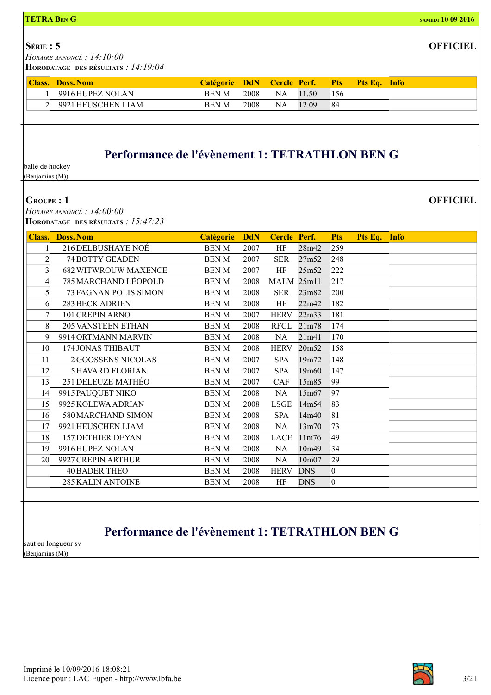| <b>Class. Doss. Nom</b>                                                                 | <b>Catégorie</b> | <b>DdN</b> | <b>Cercle Perf.</b> |            | <b>Pts</b>       | Pts Eq. Info |                 |
|-----------------------------------------------------------------------------------------|------------------|------------|---------------------|------------|------------------|--------------|-----------------|
| 9916 HUPEZ NOLAN<br>$\mathbf{1}$                                                        | <b>BENM</b>      | 2008       | <b>NA</b>           | 11.50      | 156              |              |                 |
| 9921 HEUSCHEN LIAM<br>2                                                                 | <b>BEN M</b>     | 2008       | NA                  | 12.09      | 84               |              |                 |
| Performance de l'évènement 1: TETRATHLON BEN G                                          |                  |            |                     |            |                  |              |                 |
| balle de hockey<br>(Benjamins (M))                                                      |                  |            |                     |            |                  |              |                 |
| <b>GROUPE: 1</b><br>HORAIRE ANNONCÉ : $14:00:00$<br>HORODATAGE DES RÉSULTATS : 15:47:23 |                  |            |                     |            |                  |              | <b>OFFICIEL</b> |
| <b>Class. Doss. Nom</b>                                                                 | <b>Catégorie</b> | <b>DdN</b> | Cercle Perf.        |            | <b>Pts</b>       | Pts Eq. Info |                 |
| 216 DELBUSHAYE NOÉ<br>1                                                                 | <b>BENM</b>      | 2007       | HF                  | 28m42      | 259              |              |                 |
| 2<br>74 BOTTY GEADEN                                                                    | <b>BENM</b>      | 2007       | <b>SER</b>          | 27m52      | 248              |              |                 |
| <b>682 WITWROUW MAXENCE</b><br>3                                                        | <b>BEN M</b>     | 2007       | HF                  | 25m52      | 222              |              |                 |
| 785 MARCHAND LÉOPOLD<br>4                                                               | <b>BENM</b>      | 2008       | MALM 25m11          |            | 217              |              |                 |
| 5<br>73 FAGNAN POLIS SIMON                                                              | <b>BEN M</b>     | 2008       | <b>SER</b>          | 23m82      | 200              |              |                 |
| <b>283 BECK ADRIEN</b><br>6                                                             | <b>BENM</b>      | 2008       | HF                  | 22m42      | 182              |              |                 |
| 101 CREPIN ARNO<br>7                                                                    | <b>BENM</b>      | 2007       | <b>HERV</b>         | 22m33      | 181              |              |                 |
| <b>205 VANSTEEN ETHAN</b><br>8                                                          | <b>BENM</b>      | 2008       | <b>RFCL</b>         | 21m78      | 174              |              |                 |
| 9<br>9914 ORTMANN MARVIN                                                                | <b>BEN M</b>     | 2008       | NA                  | 21m41      | 170              |              |                 |
| <b>174 JONAS THIBAUT</b><br>10                                                          | <b>BENM</b>      | 2008       | <b>HERV</b>         | 20m52      | 158              |              |                 |
| 2 GOOSSENS NICOLAS                                                                      | <b>BEN M</b>     | 2007       | <b>SPA</b>          | 19m72      | 148              |              |                 |
| <b>5 HAVARD FLORIAN</b><br>12                                                           | <b>BENM</b>      | 2007       | <b>SPA</b>          | 19m60      | 147              |              |                 |
| 251 DELEUZE MATHÉO<br>13                                                                | <b>BEN M</b>     | 2007       | <b>CAF</b>          | 15m85      | 99               |              |                 |
| 9915 PAUQUET NIKO<br>14                                                                 | <b>BENM</b>      | 2008       | <b>NA</b>           | 15m67      | 97               |              |                 |
| 15<br>9925 KOLEWA ADRIAN                                                                | <b>BENM</b>      | 2008       |                     | LSGE 14m54 | 83               |              |                 |
| 580 MARCHAND SIMON<br>16                                                                | <b>BEN M</b>     | 2008       | <b>SPA</b>          | 14m40      | 81               |              |                 |
| 9921 HEUSCHEN LIAM<br>17                                                                | <b>BEN M</b>     | 2008       | <b>NA</b>           | 13m70      | 73               |              |                 |
| <b>157 DETHIER DEYAN</b><br>18                                                          | <b>BEN M</b>     | 2008       | <b>LACE</b>         | 11m76      | 49               |              |                 |
| 9916 HUPEZ NOLAN<br>19                                                                  | <b>BEN M</b>     | 2008       | <b>NA</b>           | 10m49      | 34               |              |                 |
| 9927 CREPIN ARTHUR<br>20                                                                | <b>BEN M</b>     | 2008       | <b>NA</b>           | 10m07      | 29               |              |                 |
|                                                                                         | <b>BEN M</b>     | 2008       | <b>HERV</b>         | <b>DNS</b> | $\boldsymbol{0}$ |              |                 |
| <b>40 BADER THEO</b>                                                                    |                  | 2008       | HF                  | <b>DNS</b> | $\mathbf{0}$     |              |                 |
| 285 KALIN ANTOINE                                                                       | <b>BEN M</b>     |            |                     |            |                  |              |                 |

**TETRA BEN G** SAMEDI 10 09 2016

saut en longueur sv (Benjamins (M))

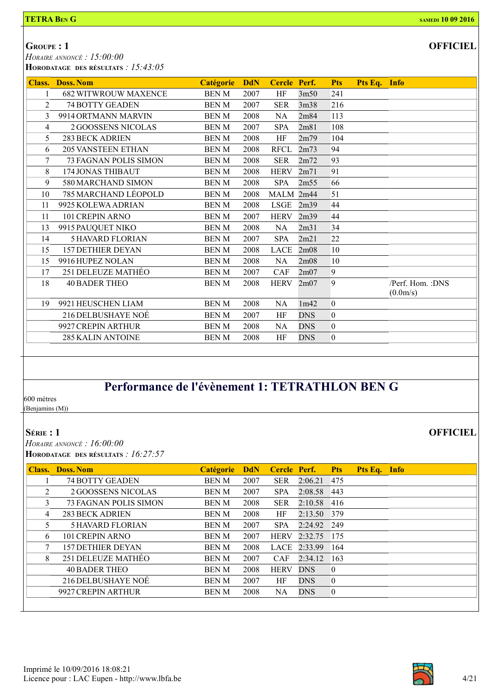GROUPE : 1  *HORAIRE ANNONCÉ : 15:00:00*

|                | HORODATAGE DES RÉSULTATS : 15:43:05 |                  |            |              |            |                  |              |                               |
|----------------|-------------------------------------|------------------|------------|--------------|------------|------------------|--------------|-------------------------------|
|                | <b>Class. Doss. Nom</b>             | <b>Catégorie</b> | <b>DdN</b> | Cercle Perf. |            | <b>Pts</b>       | Pts Eq. Info |                               |
|                | <b>682 WITWROUW MAXENCE</b>         | <b>BEN M</b>     | 2007       | HF           | 3m50       | 241              |              |                               |
| $\overline{2}$ | <b>74 BOTTY GEADEN</b>              | <b>BENM</b>      | 2007       | <b>SER</b>   | 3m38       | 216              |              |                               |
| 3              | 9914 ORTMANN MARVIN                 | <b>BENM</b>      | 2008       | <b>NA</b>    | 2m84       | 113              |              |                               |
| 4              | 2 GOOSSENS NICOLAS                  | <b>BENM</b>      | 2007       | <b>SPA</b>   | 2m81       | 108              |              |                               |
| 5              | <b>283 BECK ADRIEN</b>              | <b>BENM</b>      | 2008       | HF           | 2m79       | 104              |              |                               |
| 6              | <b>205 VANSTEEN ETHAN</b>           | <b>BENM</b>      | 2008       | <b>RFCL</b>  | 2m73       | 94               |              |                               |
| $\tau$         | <b>73 FAGNAN POLIS SIMON</b>        | <b>BENM</b>      | 2008       | <b>SER</b>   | 2m72       | 93               |              |                               |
| 8              | <b>174 JONAS THIBAUT</b>            | <b>BENM</b>      | 2008       | <b>HERV</b>  | 2m71       | 91               |              |                               |
| 9              | 580 MARCHAND SIMON                  | <b>BENM</b>      | 2008       | <b>SPA</b>   | 2m55       | 66               |              |                               |
| 10             | 785 MARCHAND LÉOPOLD                | <b>BENM</b>      | 2008       | MALM 2m44    |            | 51               |              |                               |
| 11             | 9925 KOLEWA ADRIAN                  | <b>BENM</b>      | 2008       | <b>LSGE</b>  | 2m39       | 44               |              |                               |
| 11             | 101 CREPIN ARNO                     | <b>BENM</b>      | 2007       | <b>HERV</b>  | 2m39       | 44               |              |                               |
| 13             | 9915 PAUQUET NIKO                   | <b>BENM</b>      | 2008       | <b>NA</b>    | 2m31       | 34               |              |                               |
| 14             | <b>5 HAVARD FLORIAN</b>             | <b>BENM</b>      | 2007       | <b>SPA</b>   | 2m21       | 22               |              |                               |
| 15             | <b>157 DETHIER DEYAN</b>            | <b>BENM</b>      | 2008       | <b>LACE</b>  | 2m08       | 10               |              |                               |
| 15             | 9916 HUPEZ NOLAN                    | <b>BENM</b>      | 2008       | <b>NA</b>    | 2m08       | 10               |              |                               |
| 17             | 251 DELEUZE MATHÉO                  | <b>BENM</b>      | 2007       | CAF          | 2m07       | 9                |              |                               |
| 18             | <b>40 BADER THEO</b>                | <b>BENM</b>      | 2008       | <b>HERV</b>  | 2m07       | 9                |              | /Perf. Hom. : DNS<br>(0.0m/s) |
| 19             | 9921 HEUSCHEN LIAM                  | <b>BENM</b>      | 2008       | <b>NA</b>    | 1m42       | $\theta$         |              |                               |
|                | 216 DELBUSHAYE NOE                  | <b>BENM</b>      | 2007       | HF           | <b>DNS</b> | $\boldsymbol{0}$ |              |                               |
|                | 9927 CREPIN ARTHUR                  | <b>BEN M</b>     | 2008       | <b>NA</b>    | <b>DNS</b> | $\boldsymbol{0}$ |              |                               |
|                | <b>285 KALIN ANTOINE</b>            | <b>BEN M</b>     | 2008       | HF           | <b>DNS</b> | $\theta$         |              |                               |

# Performance de l'évènement 1: TETRATHLON BEN G

600 mètres (Benjamins (M))

#### Série : 1

 *HORAIRE ANNONCÉ : 16:00:00* HORODATAGE DES RÉSULTATS *: 16:27:57*

| <b>Class.</b> | Doss, Nom                    | <b>Catégorie</b> | <b>DdN</b> | Cercle Perf. |                  | <b>Pts</b> | Pts Eq. Info |
|---------------|------------------------------|------------------|------------|--------------|------------------|------------|--------------|
|               | 74 BOTTY GEADEN              | <b>BEN M</b>     | 2007       | <b>SER</b>   | 2:06.21          | 475        |              |
| 2             | 2 GOOSSENS NICOLAS           | <b>BEN M</b>     | 2007       | <b>SPA</b>   | 2:08.58          | 443        |              |
| 3             | <b>73 FAGNAN POLIS SIMON</b> | <b>BEN M</b>     | 2008       | <b>SER</b>   | 2:10.58          | 416        |              |
| 4             | <b>283 BECK ADRIEN</b>       | <b>BEN M</b>     | 2008       | HF           | 2:13.50          | 379        |              |
| 5             | <b>5 HAVARD FLORIAN</b>      | <b>BEN M</b>     | 2007       | <b>SPA</b>   | 2:24.92          | 249        |              |
| 6             | 101 CREPIN ARNO              | <b>BEN M</b>     | 2007       |              | HERV 2:32.75 175 |            |              |
|               | <b>157 DETHIER DEYAN</b>     | <b>BEN M</b>     | 2008       |              | LACE 2:33.99     | 164        |              |
| 8             | 251 DELEUZE MATHÉO           | <b>BEN M</b>     | 2007       | <b>CAF</b>   | 2:34.12          | 163        |              |
|               | <b>40 BADER THEO</b>         | <b>BEN M</b>     | 2008       | <b>HERV</b>  | <b>DNS</b>       | $\theta$   |              |
|               | 216 DELBUSHAYE NOE           | <b>BEN M</b>     | 2007       | HF           | <b>DNS</b>       | $\theta$   |              |
|               | 9927 CREPIN ARTHUR           | <b>BEN M</b>     | 2008       | NA           | <b>DNS</b>       | $\theta$   |              |
|               |                              |                  |            |              |                  |            |              |

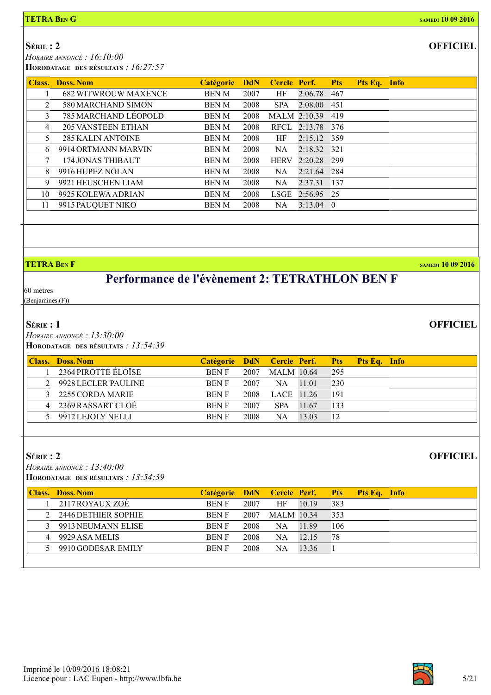SÉRIE : 2  *HORAIRE ANNONCÉ : 16:10:00* HORODATAGE DES RÉSULTATS *: 16:27:57*

|                | <b>Class. Doss. Nom</b>     | <b>Catégorie</b> | <b>DdN</b> | Cercle Perf. |              | <b>Pts</b> | Pts Eq. Info |  |
|----------------|-----------------------------|------------------|------------|--------------|--------------|------------|--------------|--|
|                | <b>682 WITWROUW MAXENCE</b> | <b>BENM</b>      | 2007       | HF           | 2:06.78      | 467        |              |  |
| 2              | 580 MARCHAND SIMON          | <b>BEN M</b>     | 2008       | <b>SPA</b>   | 2:08.00      | 451        |              |  |
| $\mathfrak{Z}$ | 785 MARCHAND LEOPOLD        | <b>BENM</b>      | 2008       |              | MALM 2:10.39 | 419        |              |  |
| 4              | <b>205 VANSTEEN ETHAN</b>   | <b>BENM</b>      | 2008       | <b>RFCL</b>  | 2:13.78      | 376        |              |  |
| 5              | <b>285 KALIN ANTOINE</b>    | <b>BENM</b>      | 2008       | HF           | 2:15.12      | 359        |              |  |
| 6              | 9914 ORTMANN MARVIN         | <b>BENM</b>      | 2008       | NA           | 2:18.32      | 321        |              |  |
| $\tau$         | 174 JONAS THIBAUT           | <b>BENM</b>      | 2008       | <b>HERV</b>  | 2:20.28      | 299        |              |  |
| 8              | 9916 HUPEZ NOLAN            | <b>BEN M</b>     | 2008       | NA.          | 2:21.64      | 284        |              |  |
| 9              | 9921 HEUSCHEN LIAM          | <b>BENM</b>      | 2008       | NA           | 2:37.31      | 137        |              |  |
| 10             | 9925 KOLEWA ADRIAN          | <b>BEN M</b>     | 2008       | LSGE         | 2:56.95 25   |            |              |  |
| 11             | 9915 PAUQUET NIKO           | <b>BEN M</b>     | 2008       | NA.          | $3:13.04$ 0  |            |              |  |

#### **TETRA BEN F** SAMEDI 10 09 2016

# Performance de l'évènement 2: TETRATHLON BEN F

60 mètres (Benjamines (F))

#### SÉRIE : 1

 *HORAIRE ANNONCÉ : 13:30:00* HORODATAGE DES RÉSULTATS *: 13:54:39*

| <b>Class. Doss. Nom</b> | Catégorie DdN Cercle Perf. Pts Pts Eq. Info |      |                   |       |     |  |
|-------------------------|---------------------------------------------|------|-------------------|-------|-----|--|
| 2364 PIROTTE ÉLOÏSE     | <b>BENF</b>                                 | 2007 | <b>MALM</b> 10.64 |       | 295 |  |
| 2 9928 LECLER PAULINE   | <b>BENF</b>                                 | 2007 | NA 11.01          |       | 230 |  |
| 3 2255 CORDA MARIE      | <b>BENF</b>                                 | 2008 | LACE 11.26        |       | 191 |  |
| 4 2369 RASSART CLOE     | <b>BENF</b>                                 | 2007 | SPA 11.67         |       | 133 |  |
| 9912 LEJOLY NELLI       | <b>BENF</b>                                 | 2008 | <b>NA</b>         | 13.03 | 12  |  |

#### SÉRIE : 2

 *HORAIRE ANNONCÉ : 13:40:00*

HORODATAGE DES RÉSULTATS *: 13:54:39*

| <b>Class.</b> | <b>Doss. Nom</b>    | Catégorie DdN Cercle Perf. Pts |      |                   |       |     | Pts Eq. Info |  |
|---------------|---------------------|--------------------------------|------|-------------------|-------|-----|--------------|--|
|               | 2117 ROYAUX ZOÉ     | <b>BENF</b>                    | 2007 | <b>HF</b>         | 10.19 | 383 |              |  |
| $2^{\circ}$   | 2446 DETHIER SOPHIE | <b>BENF</b>                    | 2007 | <b>MALM</b> 10.34 |       | 353 |              |  |
|               | 9913 NEUMANN ELISE  | <b>BENF</b>                    | 2008 | NA.               | 11.89 | 106 |              |  |
|               | 9929 ASA MELIS      | <b>BENF</b>                    | 2008 | <b>NA</b>         | 12.15 | 78  |              |  |
|               | 9910 GODESAR EMILY  | <b>BENF</b>                    | 2008 | <b>NA</b>         | 13.36 |     |              |  |
|               |                     |                                |      |                   |       |     |              |  |



**OFFICIEL**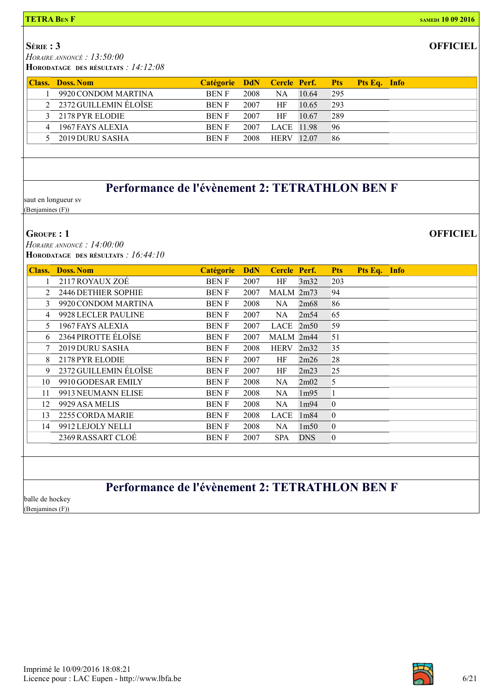#### **TETRA BEN F SAMEDI 10 09 2016**

### **OFFICIEL**

**OFFICIEL** 

 SÉRIE : 3  *HORAIRE ANNONCÉ : 13:50:00*

| HORODATAGE DES RÉSULTATS : $14:12:08$ |  |  |  |
|---------------------------------------|--|--|--|
|                                       |  |  |  |

| <b>Class. Doss. Nom</b> | Catégorie DdN Cercle Perf. Pts |      |                   |       |     | <b>Pts Eq.</b> Info |  |
|-------------------------|--------------------------------|------|-------------------|-------|-----|---------------------|--|
| 9920 CONDOM MARTINA     | <b>BENF</b>                    | 2008 | NA.               | 10.64 | 295 |                     |  |
| 2 2372 GUILLEMIN ÉLOÏSE | <b>BENF</b>                    | 2007 | HF                | 10.65 | 293 |                     |  |
| 3 2178 PYR ELODIE       | <b>BENF</b>                    | 2007 | <b>HF</b>         | 10.67 | 289 |                     |  |
| 4 1967 FAYS ALEXIA      | <b>BENF</b>                    | 2007 | LACE 11.98        |       | 96  |                     |  |
| 2019 DURU SASHA         | <b>REN F</b>                   | 2008 | <b>HERV</b> 12.07 |       | 86  |                     |  |

# Performance de l'évènement 2: TETRATHLON BEN F

saut en longueur sv (Benjamines (F))

# GROUPE : 1

 *HORAIRE ANNONCÉ : 14:00:00* HORODATAGE DES RÉSULTATS *: 16:44:10*

| Class.         | <b>Doss. Nom</b>      | <b>Catégorie</b> | <b>DdN</b> | Cercle Perf. |                  | <b>Pts</b>     | Pts Eq. Info |  |
|----------------|-----------------------|------------------|------------|--------------|------------------|----------------|--------------|--|
|                | 2117 ROYAUX ZOÉ       | <b>BENF</b>      | 2007       | HF           | 3m32             | 203            |              |  |
| $\mathfrak{D}$ | 2446 DETHIER SOPHIE   | <b>BENF</b>      | 2007       | $MALM$ 2m73  |                  | 94             |              |  |
| 3              | 9920 CONDOM MARTINA   | <b>BENF</b>      | 2008       | NA.          | 2m68             | 86             |              |  |
| 4              | 9928 LECLER PAULINE   | <b>BENF</b>      | 2007       | NA           | 2m54             | 65             |              |  |
| 5              | 1967 FAYS ALEXIA      | <b>BENF</b>      | 2007       | LACE         | 2m50             | 59             |              |  |
| 6              | 2364 PIROTTE ÉLOÏSE   | <b>BENF</b>      | 2007       | MALM 2m44    |                  | 51             |              |  |
|                | 2019 DURU SASHA       | <b>BENF</b>      | 2008       | <b>HERV</b>  | 2m32             | 35             |              |  |
| 8              | 2178 PYR ELODIE       | <b>BENF</b>      | 2007       | HF           | 2m26             | 28             |              |  |
| 9              | 2372 GUILLEMIN ÉLOÏSE | <b>BENF</b>      | 2007       | HF           | 2m23             | 25             |              |  |
| 10             | 9910 GODESAR EMILY    | <b>BENF</b>      | 2008       | <b>NA</b>    | 2m02             | 5              |              |  |
| 11             | 9913 NEUMANN ELISE    | <b>BENF</b>      | 2008       | NA           | 1m95             |                |              |  |
| 12             | 9929 ASA MELIS        | <b>BENF</b>      | 2008       | NA           | 1m94             | $\mathbf{0}$   |              |  |
| 13             | 2255 CORDA MARIE      | <b>BENF</b>      | 2008       | LACE         | 1 <sub>m84</sub> | $\overline{0}$ |              |  |
| 14             | 9912 LEJOLY NELLI     | <b>BENF</b>      | 2008       | NA.          | 1m50             | $\mathbf{0}$   |              |  |
|                | 2369 RASSART CLOE     | <b>BENF</b>      | 2007       | <b>SPA</b>   | <b>DNS</b>       | $\mathbf{0}$   |              |  |
|                |                       |                  |            |              |                  |                |              |  |

## Performance de l'évènement 2: TETRATHLON BEN F

balle de hockey (Benjamines (F))

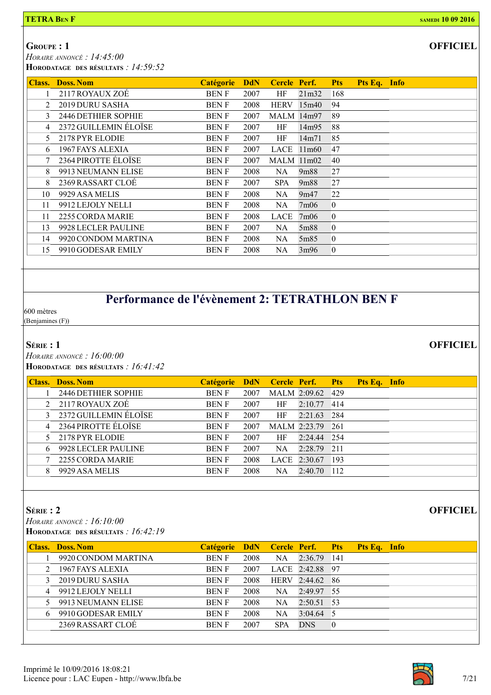GROUPE : 1  *HORAIRE ANNONCÉ : 14:45:00* HORODATAGE DES RÉSULTATS *: 14:59:52*

| Class.         | <b>Doss. Nom</b>           | <b>Catégorie</b> | <b>DdN</b> | Cercle Perf. |       | <b>Pts</b>       | Pts Eq. Info |  |
|----------------|----------------------------|------------------|------------|--------------|-------|------------------|--------------|--|
|                | 2117 ROYAUX ZOË            | <b>BENF</b>      | 2007       | HF           | 21m32 | 168              |              |  |
| $\mathfrak{D}$ | 2019 DURU SASHA            | <b>BENF</b>      | 2008       | <b>HERV</b>  | 15m40 | 94               |              |  |
| 3              | <b>2446 DETHIER SOPHIE</b> | <b>BENF</b>      | 2007       | MALM 14m97   |       | 89               |              |  |
| $\overline{4}$ | 2372 GUILLEMIN ÉLOÏSE      | <b>BENF</b>      | 2007       | HF           | 14m95 | 88               |              |  |
| 5              | 2178 PYR ELODIE            | <b>BENF</b>      | 2007       | HF           | 14m71 | 85               |              |  |
| 6              | 1967 FAYS ALEXIA           | <b>BENF</b>      | 2007       | LACE         | 11m60 | 47               |              |  |
|                | 2364 PIROTTE ÉLOÏSE        | <b>BENF</b>      | 2007       | MALM 11m02   |       | 40               |              |  |
| 8              | 9913 NEUMANN ELISE         | <b>BENF</b>      | 2008       | NA.          | 9m88  | 27               |              |  |
| 8              | 2369 RASSART CLOE          | <b>BENF</b>      | 2007       | <b>SPA</b>   | 9m88  | 27               |              |  |
| 10             | 9929 ASA MELIS             | <b>BENF</b>      | 2008       | NA.          | 9m47  | 22               |              |  |
| 11             | 9912 LEJOLY NELLI          | <b>BENF</b>      | 2008       | NA           | 7m06  | $\overline{0}$   |              |  |
| 11             | 2255 CORDA MARIE           | <b>BENF</b>      | 2008       | LACE         | 7m06  | $\boldsymbol{0}$ |              |  |
| 13             | 9928 LECLER PAULINE        | <b>BENF</b>      | 2007       | NA.          | 5m88  | $\overline{0}$   |              |  |
| 14             | 9920 CONDOM MARTINA        | <b>BENF</b>      | 2008       | NA.          | 5m85  | $\mathbf{0}$     |              |  |
| 15             | 9910 GODESAR EMILY         | <b>BENF</b>      | 2008       | <b>NA</b>    | 3m96  | $\boldsymbol{0}$ |              |  |

## Performance de l'évènement 2: TETRATHLON BEN F

600 mètres

(Benjamines (F))

#### Série : 1

 *HORAIRE ANNONCÉ : 16:00:00* HORODATAGE DES RÉSULTATS *: 16:41:42*

|                | <b>Class. Doss. Nom</b> | Catégorie DdN Cercle Perf. Pts |      |     |                  |        | Pts Eq. Info |  |
|----------------|-------------------------|--------------------------------|------|-----|------------------|--------|--------------|--|
|                | 2446 DETHIER SOPHIE     | <b>BENF</b>                    | 2007 |     | MALM 2:09.62     | 429    |              |  |
| $2^{\circ}$    | 2117 ROYAUX ZOË         | <b>BENF</b>                    | 2007 | HF  | 2:10.77          | 414    |              |  |
|                | 2372 GUILLEMIN ÉLOÏSE   | <b>BENF</b>                    | 2007 | HF  | 2:21.63          | 284    |              |  |
| $\overline{4}$ | 2364 PIROTTE ÉLOÏSE     | <b>BENF</b>                    | 2007 |     | MALM 2:23.79 261 |        |              |  |
| $5 -$          | 2178 PYR ELODIE         | <b>BENF</b>                    | 2007 | HF  | 2:24.44 254      |        |              |  |
| 6              | 9928 LECLER PAULINE     | <b>BENF</b>                    | 2007 | NA. | 2:28.79 211      |        |              |  |
|                | 2255 CORDA MARIE        | <b>BENF</b>                    | 2008 |     | LACE 2:30.67 193 |        |              |  |
| 8.             | 9929 ASA MELIS          | <b>BENF</b>                    | 2008 | NA  | 2:40.70          | $-112$ |              |  |
|                |                         |                                |      |     |                  |        |              |  |

### SÉRIE : 2

 *HORAIRE ANNONCÉ : 16:10:00* HORODATAGE DES RÉSULTATS *: 16:42:19*

|    | <b>Class.</b> Doss, Nom | Catégorie DdN Cercle Perf. Pts |      |            |                 | <b>Pts Eq. Info</b> |  |
|----|-------------------------|--------------------------------|------|------------|-----------------|---------------------|--|
|    | 9920 CONDOM MARTINA     | <b>BENF</b>                    | 2008 | NA.        | 2:36.79 141     |                     |  |
|    | 1967 FAYS ALEXIA        | <b>BEN F</b>                   | 2007 |            | LACE 2:42.88 97 |                     |  |
|    | 3 2019 DURU SASHA       | <b>BENF</b>                    | 2008 |            | HERV 2:44.62 86 |                     |  |
|    | 4 9912 LEJOLY NELLI     | <b>BENF</b>                    | 2008 | NA.        | 2:49.97 55      |                     |  |
|    | 5 9913 NEUMANN ELISE    | <b>BENF</b>                    | 2008 | NA.        | 2:50.51 53      |                     |  |
| 6. | 9910 GODESAR EMILY      | <b>BEN F</b>                   | 2008 | NA.        | $3:04.64$ 5     |                     |  |
|    | 2369 RASSART CLOE       | <b>BENF</b>                    | 2007 | <b>SPA</b> | <b>DNS</b>      |                     |  |



**OFFICIEL**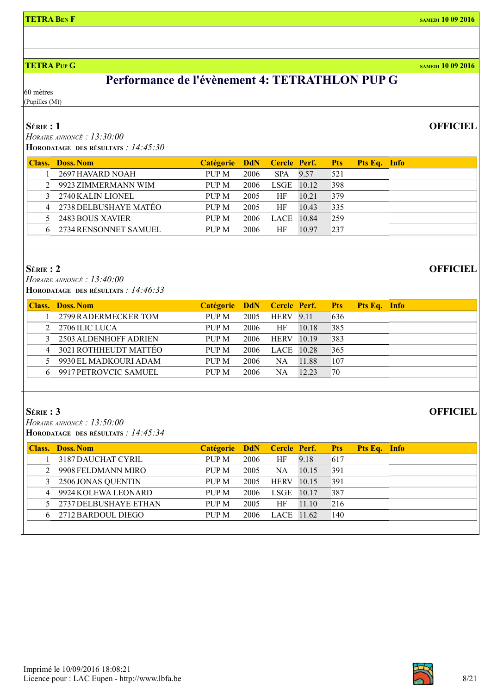#### **TETRA BEN F** SAMEDI 10 09 2016

#### **TETRA PUP G** SAMEDI 10 09 2016

**OFFICIEL** 

**OFFICIEL** 

**OFFICIEL** 

# Performance de l'évènement 4: TETRATHLON PUP G

60 mètres (Pupilles (M))

#### SÉRIE : 1

 *HORAIRE ANNONCÉ : 13:30:00* HORODATAGE DES RÉSULTATS *: 14:45:30*

| <b>Class. Doss. Nom</b> | Catégorie DdN Cercle Perf. Pts |      |      |       |     | <b>Pts Eq.</b> Info |  |
|-------------------------|--------------------------------|------|------|-------|-----|---------------------|--|
| 2697 HAVARD NOAH        | PUP <sub>M</sub>               | 2006 | SPA  | 9.57  | 521 |                     |  |
| 2 9923 ZIMMERMANN WIM   | PUP M                          | 2006 | LSGE | 10.12 | 398 |                     |  |
| 3 2740 KALIN LIONEL     | PUP M                          | 2005 | ΗF   | 10.21 | 379 |                     |  |
| 4 2738 DELBUSHAYE MATÉO | PUP M                          | 2005 | HF   | 10.43 | 335 |                     |  |
| 2483 BOUS XAVIER        | PUP <sub>M</sub>               | 2006 | LACE | 10.84 | 259 |                     |  |
| 6 2734 RENSONNET SAMUEL | PUP <sub>M</sub>               | 2006 | HF.  | 10.97 | 237 |                     |  |
|                         |                                |      |      |       |     |                     |  |

#### SÉRIE : 2

 *HORAIRE ANNONCÉ : 13:40:00* HORODATAGE DES RÉSULTATS *: 14:46:33*

|   | <b>Class. Doss. Nom</b> | Catégorie DdN Cercle Perf. Pts |      |                   |       |     | Pts Eq. Info |
|---|-------------------------|--------------------------------|------|-------------------|-------|-----|--------------|
|   | 2799 RADERMECKER TOM    | PUP <sub>M</sub>               | 2005 | <b>HERV</b> 9.11  |       | 636 |              |
|   | $2-2706$ ILIC LUCA      | PUP <sub>M</sub>               | 2006 | HF                | 10.18 | 385 |              |
|   | 2503 ALDENHOFF ADRIEN   | PUP <sub>M</sub>               | 2006 | <b>HERV</b> 10.19 |       | 383 |              |
| 4 | 3021 ROTHHEUDT MATTÉO   | PUP <sub>M</sub>               | 2006 | LACE 10.28        |       | 365 |              |
|   | 9930 EL MADKOURI ADAM   | PUP <sub>M</sub>               | 2006 | NA.               | 11.88 | 107 |              |
| 6 | 9917 PETROVCIC SAMUEL   | PUP <sub>M</sub>               | 2006 | NA.               | 12.23 | 70  |              |

#### SÉRIE : 3

 *HORAIRE ANNONCÉ : 13:50:00* HORODATAGE DES RÉSULTATS *: 14:45:34*

| <b>Class. Doss. Nom</b> | Catégorie DdN Cercle Perf. |      |             |       | <b>Pts</b> | <b>Pts Eq. Info</b> |  |
|-------------------------|----------------------------|------|-------------|-------|------------|---------------------|--|
| 3187 DAUCHAT CYRIL      | PUP <sub>M</sub>           | 2006 | <b>HF</b>   | 9.18  | 617        |                     |  |
| 2 9908 FELDMANN MIRO    | PUP <sub>M</sub>           | 2005 | NA.         | 10.15 | 391        |                     |  |
| 3 2506 JONAS QUENTIN    | PUP M                      | 2005 | <b>HERV</b> | 10.15 | 391        |                     |  |
| 4 9924 KOLEWA LEONARD   | PUP <sub>M</sub>           | 2006 | LSGE 10.17  |       | 387        |                     |  |
| 5 2737 DELBUSHAYE ETHAN | PUP <sub>M</sub>           | 2005 | <b>HF</b>   | 11.10 | 216        |                     |  |
| 6 2712 BARDOUL DIEGO    | PUP <sub>M</sub>           | 2006 | LACE 11.62  |       | 140        |                     |  |
|                         |                            |      |             |       |            |                     |  |

| Imprimé le 10/09/2016 18:08:21                |      |
|-----------------------------------------------|------|
|                                               |      |
| Licence pour : LAC Eupen - http://www.lbfa.be | 8/21 |

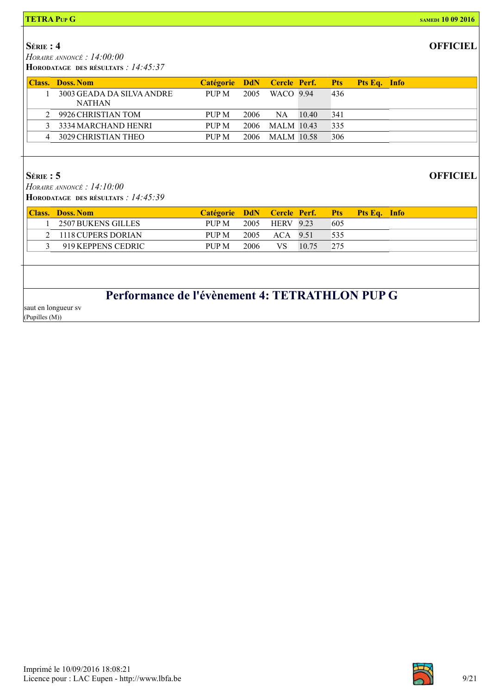**OFFICIEL** 

 SÉRIE : 4  *HORAIRE ANNONCÉ : 14:00:00* HORODATAGE DES RÉSULTATS *: 14:45:37*

| <b>Class. Doss. Nom</b>                    | Catégorie DdN Cercle Perf. |      |                   |       | <b>Pts</b> | <b>Pts Eq. Info</b> |  |
|--------------------------------------------|----------------------------|------|-------------------|-------|------------|---------------------|--|
| 3003 GEADA DA SILVA ANDRE<br><b>NATHAN</b> | PUP <sub>M</sub>           | 2005 | WACO 9.94         |       | 436        |                     |  |
| 9926 CHRISTIAN TOM                         | PUP <sub>M</sub>           | 2006 | NA.               | 10.40 | 341        |                     |  |
| 3334 MARCHAND HENRI                        | PUP <sub>M</sub>           | 2006 | <b>MALM</b> 10.43 |       | 335        |                     |  |
| 3029 CHRISTIAN THEO                        | PUP M                      | 2006 | <b>MALM</b> 10.58 |       | 306        |                     |  |
|                                            |                            |      |                   |       |            |                     |  |

#### SÉRIE : 5

 *HORAIRE ANNONCÉ : 14:10:00* HORODATAGE DES RÉSULTATS *: 14:45:39*

| <b>Class. Doss. Nom</b> | Catégorie DdN Cercle Perf. Pts Pts Eq. Info |      |          |     |  |
|-------------------------|---------------------------------------------|------|----------|-----|--|
| 2507 BUKENS GILLES      | PUP M 2005 HERV 9.23                        |      |          | 605 |  |
| 2 1118 CUPERS DORIAN    | PUP M 2005 ACA 9.51                         |      |          | 535 |  |
| 3 919 KEPPENS CEDRIC    | PUP M                                       | 2006 | VS 10.75 | 275 |  |
|                         |                                             |      |          |     |  |

## Performance de l'évènement 4: TETRATHLON PUP G

saut en longueur sv (Pupilles (M))

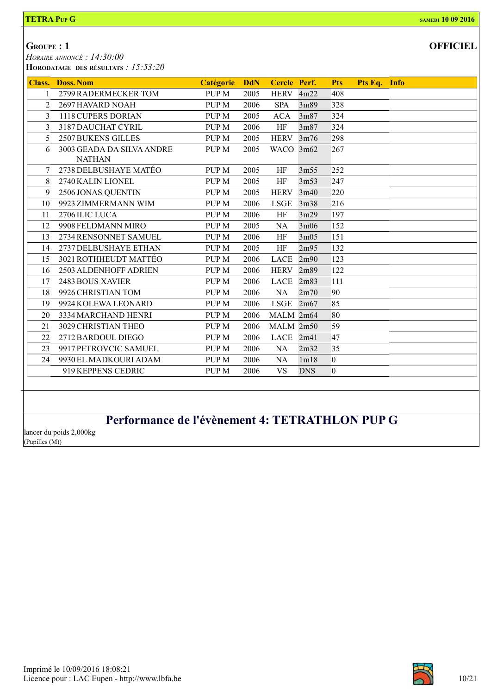GROUPE : 1  *HORAIRE ANNONCÉ : 14:30:00*

HORODATAGE DES RÉSULTATS *: 15:53:20*

|    | <b>Class. Doss. Nom</b>                    | <b>Catégorie</b> | <b>DdN</b> | Cercle Perf. |            | <b>Pts</b>     | Pts Eq. Info |  |
|----|--------------------------------------------|------------------|------------|--------------|------------|----------------|--------------|--|
| 1  | 2799 RADERMECKER TOM                       | PUP <sub>M</sub> | 2005       | <b>HERV</b>  | 4m22       | 408            |              |  |
| 2  | 2697 HAVARD NOAH                           | PUP <sub>M</sub> | 2006       | <b>SPA</b>   | 3m89       | 328            |              |  |
| 3  | 1118 CUPERS DORIAN                         | PUP <sub>M</sub> | 2005       | <b>ACA</b>   | 3m87       | 324            |              |  |
| 3  | 3187 DAUCHAT CYRIL                         | PUP <sub>M</sub> | 2006       | HF           | 3m87       | 324            |              |  |
| 5  | <b>2507 BUKENS GILLES</b>                  | PUP <sub>M</sub> | 2005       | <b>HERV</b>  | 3m76       | 298            |              |  |
| 6  | 3003 GEADA DA SILVA ANDRE<br><b>NATHAN</b> | PUP M            | 2005       | WACO 3m62    |            | 267            |              |  |
| 7  | 2738 DELBUSHAYE MATÉO                      | PUP <sub>M</sub> | 2005       | HF           | 3m55       | 252            |              |  |
| 8  | 2740 KALIN LIONEL                          | PUP <sub>M</sub> | 2005       | HF           | 3m53       | 247            |              |  |
| 9  | 2506 JONAS QUENTIN                         | PUP <sub>M</sub> | 2005       | <b>HERV</b>  | 3m40       | 220            |              |  |
| 10 | 9923 ZIMMERMANN WIM                        | PUP <sub>M</sub> | 2006       | <b>LSGE</b>  | 3m38       | 216            |              |  |
| 11 | 2706 ILIC LUCA                             | PUP <sub>M</sub> | 2006       | HF           | 3m29       | 197            |              |  |
| 12 | 9908 FELDMANN MIRO                         | PUP <sub>M</sub> | 2005       | <b>NA</b>    | 3m06       | 152            |              |  |
| 13 | 2734 RENSONNET SAMUEL                      | PUP <sub>M</sub> | 2006       | HF           | 3m05       | 151            |              |  |
| 14 | 2737 DELBUSHAYE ETHAN                      | PUP <sub>M</sub> | 2005       | HF           | 2m95       | 132            |              |  |
| 15 | 3021 ROTHHEUDT MATTÉO                      | PUP <sub>M</sub> | 2006       | <b>LACE</b>  | 2m90       | 123            |              |  |
| 16 | 2503 ALDENHOFF ADRIEN                      | PUP <sub>M</sub> | 2006       | <b>HERV</b>  | 2m89       | 122            |              |  |
| 17 | 2483 BOUS XAVIER                           | PUP <sub>M</sub> | 2006       | <b>LACE</b>  | 2m83       | 111            |              |  |
| 18 | 9926 CHRISTIAN TOM                         | PUP <sub>M</sub> | 2006       | NA           | 2m70       | 90             |              |  |
| 19 | 9924 KOLEWA LEONARD                        | PUP <sub>M</sub> | 2006       | <b>LSGE</b>  | 2m67       | 85             |              |  |
| 20 | 3334 MARCHAND HENRI                        | PUP <sub>M</sub> | 2006       | MALM 2m64    |            | 80             |              |  |
| 21 | 3029 CHRISTIAN THEO                        | PUP <sub>M</sub> | 2006       | MALM 2m50    |            | 59             |              |  |
| 22 | 2712 BARDOUL DIEGO                         | PUP <sub>M</sub> | 2006       | LACE 2m41    |            | 47             |              |  |
| 23 | 9917 PETROVCIC SAMUEL                      | PUP <sub>M</sub> | 2006       | <b>NA</b>    | 2m32       | 35             |              |  |
| 24 | 9930 EL MADKOURI ADAM                      | PUP <sub>M</sub> | 2006       | <b>NA</b>    | 1m18       | $\overline{0}$ |              |  |
|    | 919 KEPPENS CEDRIC                         | PUP <sub>M</sub> | 2006       | <b>VS</b>    | <b>DNS</b> | $\overline{0}$ |              |  |
|    |                                            |                  |            |              |            |                |              |  |

### Performance de l'évènement 4: TETRATHLON PUP G

lancer du poids 2,000kg (Pupilles (M))

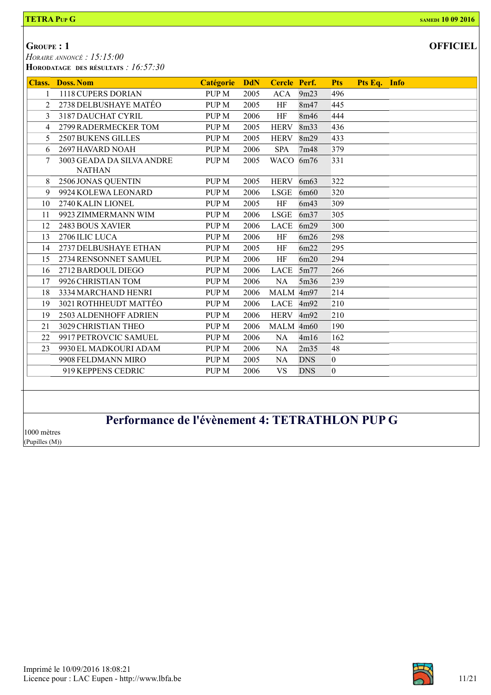GROUPE : 1  *HORAIRE ANNONCÉ : 15:15:00*

HORODATAGE DES RÉSULTATS *: 16:57:30*

|    | <b>Class. Doss. Nom</b>                    | <b>Catégorie</b> | <b>DdN</b> | Cercle Perf. |            | <b>Pts</b>     | Pts Eq. Info |  |
|----|--------------------------------------------|------------------|------------|--------------|------------|----------------|--------------|--|
|    | 1118 CUPERS DORIAN                         | PUP <sub>M</sub> | 2005       | <b>ACA</b>   | 9m23       | 496            |              |  |
| 2  | 2738 DELBUSHAYE MATÉO                      | PUP <sub>M</sub> | 2005       | HF           | 8m47       | 445            |              |  |
| 3  | 3187 DAUCHAT CYRIL                         | PUP <sub>M</sub> | 2006       | HF           | 8m46       | 444            |              |  |
| 4  | 2799 RADERMECKER TOM                       | PUP <sub>M</sub> | 2005       | <b>HERV</b>  | 8m33       | 436            |              |  |
| 5  | <b>2507 BUKENS GILLES</b>                  | PUP <sub>M</sub> | 2005       | <b>HERV</b>  | 8m29       | 433            |              |  |
| 6  | 2697 HAVARD NOAH                           | PUP <sub>M</sub> | 2006       | <b>SPA</b>   | 7m48       | 379            |              |  |
| 7  | 3003 GEADA DA SILVA ANDRE<br><b>NATHAN</b> | PUP <sub>M</sub> | 2005       | WACO 6m76    |            | 331            |              |  |
| 8  | 2506 JONAS QUENTIN                         | PUP <sub>M</sub> | 2005       | <b>HERV</b>  | 6m63       | 322            |              |  |
| 9  | 9924 KOLEWA LEONARD                        | PUP <sub>M</sub> | 2006       | <b>LSGE</b>  | 6m60       | 320            |              |  |
| 10 | 2740 KALIN LIONEL                          | PUP <sub>M</sub> | 2005       | HF           | 6m43       | 309            |              |  |
| 11 | 9923 ZIMMERMANN WIM                        | PUP <sub>M</sub> | 2006       | <b>LSGE</b>  | 6m37       | 305            |              |  |
| 12 | 2483 BOUS XAVIER                           | PUP <sub>M</sub> | 2006       | <b>LACE</b>  | 6m29       | 300            |              |  |
| 13 | 2706 ILIC LUCA                             | PUP <sub>M</sub> | 2006       | HF           | 6m26       | 298            |              |  |
| 14 | 2737 DELBUSHAYE ETHAN                      | PUP <sub>M</sub> | 2005       | HF           | 6m22       | 295            |              |  |
| 15 | 2734 RENSONNET SAMUEL                      | PUP <sub>M</sub> | 2006       | HF           | 6m20       | 294            |              |  |
| 16 | 2712 BARDOUL DIEGO                         | PUP <sub>M</sub> | 2006       | <b>LACE</b>  | 5m77       | 266            |              |  |
| 17 | 9926 CHRISTIAN TOM                         | PUP <sub>M</sub> | 2006       | NA           | 5m36       | 239            |              |  |
| 18 | 3334 MARCHAND HENRI                        | PUP <sub>M</sub> | 2006       | MALM 4m97    |            | 214            |              |  |
| 19 | 3021 ROTHHEUDT MATTÉO                      | PUP <sub>M</sub> | 2006       | <b>LACE</b>  | 4m92       | 210            |              |  |
| 19 | <b>2503 ALDENHOFF ADRIEN</b>               | PUP <sub>M</sub> | 2006       | <b>HERV</b>  | 4m92       | 210            |              |  |
| 21 | 3029 CHRISTIAN THEO                        | PUP <sub>M</sub> | 2006       | MALM 4m60    |            | 190            |              |  |
| 22 | 9917 PETROVCIC SAMUEL                      | PUP <sub>M</sub> | 2006       | NA           | 4m16       | 162            |              |  |
| 23 | 9930 EL MADKOURI ADAM                      | PUP <sub>M</sub> | 2006       | NA           | 2m35       | 48             |              |  |
|    | 9908 FELDMANN MIRO                         | PUP <sub>M</sub> | 2005       | NA           | <b>DNS</b> | $\overline{0}$ |              |  |
|    | 919 KEPPENS CEDRIC                         | PUP <sub>M</sub> | 2006       | <b>VS</b>    | <b>DNS</b> | $\overline{0}$ |              |  |
|    |                                            |                  |            |              |            |                |              |  |

# Performance de l'évènement 4: TETRATHLON PUP G

1000 mètres (Pupilles (M))

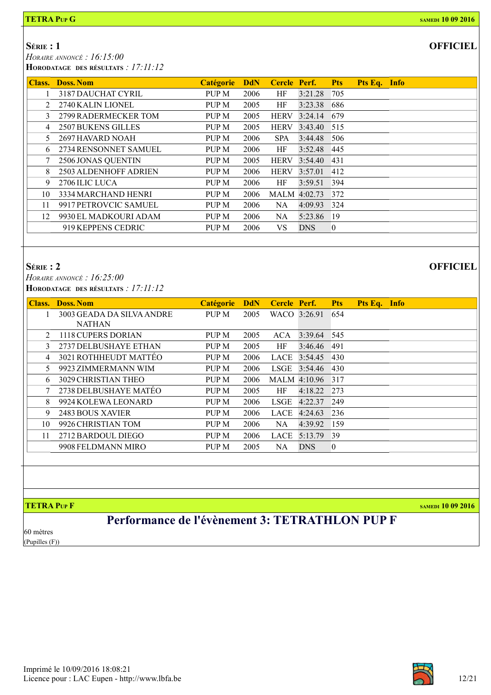**OFFICIEL** 

 SÉRIE : 1  *HORAIRE ANNONCÉ : 16:15:00*

HORODATAGE DES RÉSULTATS *: 17:11:12*

|             | <b>Class. Doss. Nom</b>      | <b>Catégorie</b> | <b>DdN</b> | Cercle Perf. |              | <b>Pts</b>     | Pts Eq. Info |  |
|-------------|------------------------------|------------------|------------|--------------|--------------|----------------|--------------|--|
|             | 3187 DAUCHAT CYRIL           | PUP M            | 2006       | HF           | 3:21.28      | 705            |              |  |
| $2^{\circ}$ | 2740 KALIN LIONEL            | PUP M            | 2005       | HF           | 3:23.38      | 686            |              |  |
| 3           | 2799 RADERMECKER TOM         | PUP M            | 2005       | <b>HERV</b>  | 3:24.14      | 679            |              |  |
| 4           | 2507 BUKENS GILLES           | PUP M            | 2005       | <b>HERV</b>  | 3:43.40 515  |                |              |  |
| 5           | 2697 HAVARD NOAH             | PUP M            | 2006       | <b>SPA</b>   | 3:44.48      | 506            |              |  |
| 6           | 2734 RENSONNET SAMUEL        | PUP M            | 2006       | HF           | 3:52.48      | 445            |              |  |
|             | 2506 JONAS QUENTIN           | PUP M            | 2005       | <b>HERV</b>  | 3:54.40      | 431            |              |  |
| 8           | <b>2503 ALDENHOFF ADRIEN</b> | PUP M            | 2006       | <b>HERV</b>  | 3:57.01      | 412            |              |  |
| 9           | 2706 ILIC LUCA               | PUP M            | 2006       | HF           | 3:59.51      | 394            |              |  |
| 10          | 3334 MARCHAND HENRI          | PUP M            | 2006       |              | MALM 4:02.73 | 372            |              |  |
| 11          | 9917 PETROVCIC SAMUEL        | PUP M            | 2006       | NA.          | 4:09.93      | 324            |              |  |
| 12          | 9930 EL MADKOURI ADAM        | PUP M            | 2006       | NA           | 5:23.86 19   |                |              |  |
|             | 919 KEPPENS CEDRIC           | PUP M            | 2006       | VS.          | <b>DNS</b>   | $\overline{0}$ |              |  |
|             |                              |                  |            |              |              |                |              |  |

#### SÉRIE : 2

 *HORAIRE ANNONCÉ : 16:25:00* HORODATAGE DES RÉSULTATS *: 17:11:12*

| <b>Doss. Nom</b>          | <b>Catégorie</b> | <b>DdN</b> |            |            | <b>Pts</b>                                                                               |                    |              |
|---------------------------|------------------|------------|------------|------------|------------------------------------------------------------------------------------------|--------------------|--------------|
| 3003 GEADA DA SILVA ANDRE | PUP M            | 2005       |            |            | 654                                                                                      |                    |              |
| <b>NATHAN</b>             |                  |            |            |            |                                                                                          |                    |              |
| 1118 CUPERS DORIAN        | PUP M            | 2005       | <b>ACA</b> |            |                                                                                          |                    |              |
| 2737 DELBUSHAYE ETHAN     | PUP M            | 2005       | HF         | 3:46.46    | 491                                                                                      |                    |              |
| 3021 ROTHHEUDT MATTÉO     | PUP M            | 2006       | LACE       |            | 430                                                                                      |                    |              |
| 9923 ZIMMERMANN WIM       | PUP M            | 2006       | LSGE       |            | 430                                                                                      |                    |              |
| 3029 CHRISTIAN THEO       | PUP M            | 2006       |            |            |                                                                                          |                    |              |
| 2738 DELBUSHAYE MATÉO     | PUP M            | 2005       | HF         | 4:18.22    | 273                                                                                      |                    |              |
| 9924 KOLEWA LEONARD       | PUP M            | 2006       | LSGE       |            | 249                                                                                      |                    |              |
| 2483 BOUS XAVIER          | PUP M            | 2006       | LACE       |            | 236                                                                                      |                    |              |
| 9926 CHRISTIAN TOM        | PUP M            | 2006       | NA.        | 4:39.92    | <sup>159</sup>                                                                           |                    |              |
| 2712 BARDOUL DIEGO        | PUP M            | 2006       | LACE       | 5:13.79    | 39                                                                                       |                    |              |
| 9908 FELDMANN MIRO        | PUP M            | 2005       | NA         | <b>DNS</b> | $\mathbf{0}$                                                                             |                    |              |
|                           |                  |            |            |            | Cercle Perf.<br>WACO 3:26.91<br>3:54.45<br>3:54.46<br>MALM 4:10.96<br>4:22.37<br>4:24.63 | 3:39.64 545<br>317 | Pts Eq. Info |

#### **TETRA PUP F** SAMEDI 10 09 2016

### Performance de l'évènement 3: TETRATHLON PUP F

60 mètres (Pupilles (F))

Imprimé le 10/09/2016 18:08:21 Licence pour : LAC Eupen - http://www.lbfa.be 12/21

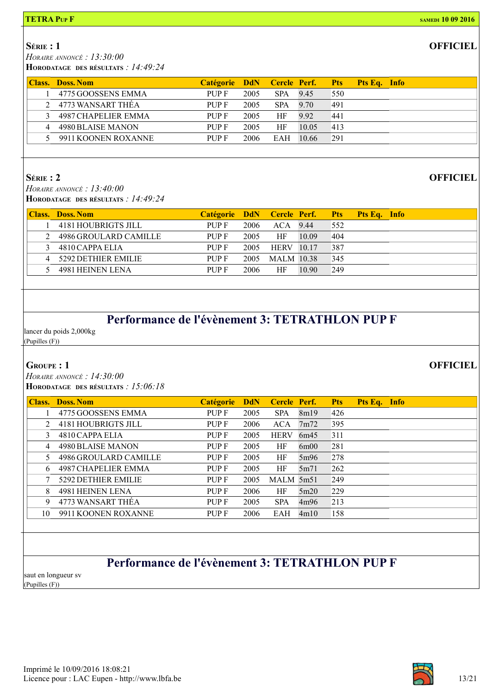#### **TETRA P**up F SAMEDI 10 09 2016

### **OFFICIEL**

**OFFICIEL** 

**OFFICIEL** 

 SÉRIE : 1  *HORAIRE ANNONCÉ : 13:30:00* HORODATAGE DES RÉSULTATS *: 14:49:24*

| <b>Class. Doss. Nom</b> | Catégorie DdN Cercle Perf. Pts |      |            |       |     | <b>Pts Eq.</b> Info |  |
|-------------------------|--------------------------------|------|------------|-------|-----|---------------------|--|
| 4775 GOOSSENS EMMA      | PUP F                          | 2005 | SPA 9.45   |       | 550 |                     |  |
| 2 4773 WANSART THEA     | PUP <sub>F</sub>               | 2005 | <b>SPA</b> | 9.70  | 491 |                     |  |
| 4987 CHAPELIER EMMA     | PUP F                          | 2005 | ΗF         | 9.92  | 441 |                     |  |
| 4980 BLAISE MANON       | PUP <sub>F</sub>               | 2005 | ΗF         | 10.05 | 413 |                     |  |
| 9911 KOONEN ROXANNE     | PUP <sub>F</sub>               | 2006 | EAH        | 10.66 | 291 |                     |  |

#### SÉRIE : 2

 *HORAIRE ANNONCÉ : 13:40:00* HORODATAGE DES RÉSULTATS *: 14:49:24*

| <b>Class.</b> Doss. Nom | Catégorie DdN Cercle Perf. Pts Pts Eq. Info |      |                   |       |     |  |
|-------------------------|---------------------------------------------|------|-------------------|-------|-----|--|
| 4181 HOUBRIGTS JILL     | PUP <sub>F</sub>                            | 2006 | ACA 9.44          |       | 552 |  |
| 2 4986 GROULARD CAMILLE | PUP <sub>F</sub>                            | 2005 | <b>HF</b>         | 10.09 | 404 |  |
| $34810$ CAPPA ELIA      | PUP <sub>F</sub>                            | 2005 | <b>HERV</b> 10.17 |       | 387 |  |
| 4 5292 DETHIER EMILIE   | PUP F                                       | 2005 | <b>MALM</b> 10.38 |       | 345 |  |
| 4981 HEINEN LENA        | PUP <sub>F</sub>                            | 2006 | HF                | 10.90 | 249 |  |

# Performance de l'évènement 3: TETRATHLON PUP F

lancer du poids 2,000kg (Pupilles (F))

#### GROUPE : 1

 *HORAIRE ANNONCÉ : 14:30:00* HORODATAGE DES RÉSULTATS *: 15:06:18*

| Class. | <b>Doss, Nom</b>      | <b>Catégorie</b> | <b>DdN</b> | Cercle Perf. |      | <b>Pts</b> | Pts Eq. Info |  |
|--------|-----------------------|------------------|------------|--------------|------|------------|--------------|--|
|        | 4775 GOOSSENS EMMA    | PUP F            | 2005       | <b>SPA</b>   | 8m19 | 426        |              |  |
|        | 4181 HOUBRIGTS JILL   | PUP F            | 2006       | <b>ACA</b>   | 7m72 | 395        |              |  |
| 3      | 4810 CAPPA ELIA       | PUP F            | 2005       | <b>HERV</b>  | 6m45 | 311        |              |  |
| 4      | 4980 BLAISE MANON     | PUP F            | 2005       | HF           | 6m00 | 281        |              |  |
| 5.     | 4986 GROULARD CAMILLE | PUP F            | 2005       | HF           | 5m96 | 278        |              |  |
| 6      | 4987 CHAPELIER EMMA   | PUP F            | 2005       | HF           | 5m71 | 262        |              |  |
|        | 5292 DETHIER EMILIE   | PUP F            | 2005       | MALM         | 5m51 | 249        |              |  |
| 8      | 4981 HEINEN LENA      | PUP <sub>F</sub> | 2006       | HF           | 5m20 | 229        |              |  |
| 9      | 4773 WANSART THÉA     | PUP <sub>F</sub> | 2005       | <b>SPA</b>   | 4m96 | 213        |              |  |
| 10     | 9911 KOONEN ROXANNE   | PUP F            | 2006       | EAH          | 4m10 | 158        |              |  |

# Performance de l'évènement 3: TETRATHLON PUP F

saut en longueur sv (Pupilles (F))

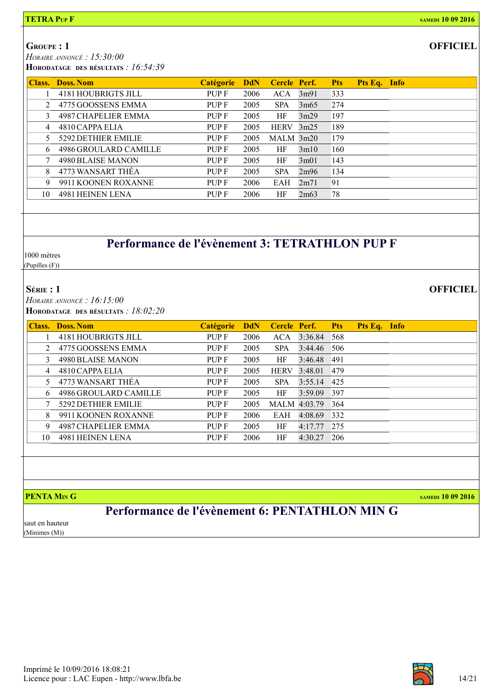**OFFICIEL** 

GROUPE : 1  *HORAIRE ANNONCÉ : 15:30:00*

HORODATAGE DES RÉSULTATS *: 16:54:39*

| Class.      | Doss, Nom             | <b>Catégorie</b> | <b>DdN</b> | Cercle Perf. |      | <b>Pts</b> | Pts Eq. Info |  |
|-------------|-----------------------|------------------|------------|--------------|------|------------|--------------|--|
|             | 4181 HOUBRIGTS JILL   | PUP F            | 2006       | <b>ACA</b>   | 3m91 | 333        |              |  |
| $2^{\circ}$ | 4775 GOOSSENS EMMA    | PUP F            | 2005       | <b>SPA</b>   | 3m65 | 274        |              |  |
| 3           | 4987 CHAPELIER EMMA   | PUP F            | 2005       | HF           | 3m29 | 197        |              |  |
| 4           | 4810 CAPPA ELIA       | PUP F            | 2005       | <b>HERV</b>  | 3m25 | 189        |              |  |
|             | 5292 DETHIER EMILIE   | PUP F            | 2005       | $MALM$ 3m20  |      | 179        |              |  |
| 6           | 4986 GROULARD CAMILLE | PUP F            | 2005       | HF           | 3m10 | 160        |              |  |
|             | 4980 BLAISE MANON     | PUP F            | 2005       | HF           | 3m01 | 143        |              |  |
| 8           | 4773 WANSART THEA     | PUP F            | 2005       | <b>SPA</b>   | 2m96 | 134        |              |  |
| 9           | 9911 KOONEN ROXANNE   | PUP F            | 2006       | EAH          | 2m71 | 91         |              |  |
| 10          | 4981 HEINEN LENA      | PUP F            | 2006       | HF           | 2m63 | 78         |              |  |

# Performance de l'évènement 3: TETRATHLON PUP F

1000 mètres

(Pupilles (F))

#### SÉRIE : 1

 *HORAIRE ANNONCÉ : 16:15:00* HORODATAGE DES RÉSULTATS *: 18:02:20*

|              | <b>Class. Doss. Nom</b> | <b>Catégorie</b> | <b>DdN</b> |             | <b>Cercle Perf. Pts</b> |      | Pts Eq. Info |  |
|--------------|-------------------------|------------------|------------|-------------|-------------------------|------|--------------|--|
|              | 4181 HOUBRIGTS JILL     | PUP F            | 2006       | <b>ACA</b>  | 3:36.84                 | 568  |              |  |
| 2            | 4775 GOOSSENS EMMA      | PUP F            | 2005       | <b>SPA</b>  | 3:44.46                 | -506 |              |  |
| $\mathbf{3}$ | 4980 BLAISE MANON       | PUP F            | 2005       | HF          | 3:46.48                 | 491  |              |  |
| 4            | 4810 CAPPA ELIA         | PUP F            | 2005       | <b>HERV</b> | 3:48.01                 | 479  |              |  |
| 5.           | 4773 WANSART THEA       | PUP F            | 2005       | <b>SPA</b>  | 3:55.14                 | 425  |              |  |
| 6            | 4986 GROULARD CAMILLE   | PUP F            | 2005       | ΗF          | 3:59.09                 | 397  |              |  |
|              | 5292 DETHIER EMILIE     | PUP F            | 2005       |             | MALM 4:03.79            | 364  |              |  |
| 8            | 9911 KOONEN ROXANNE     | PUP F            | 2006       | EAH         | 4:08.69                 | 332  |              |  |
| 9            | 4987 CHAPELIER EMMA     | PUP F            | 2005       | HF          | 4:17.77                 | 275  |              |  |
| 10           | 4981 HEINEN LENA        | PUP F            | 2006       | HF          | 4:30.27                 | 206  |              |  |

#### **PENTA MIN G** SAMEDI 10 09 2016

## Performance de l'évènement 6: PENTATHLON MIN G

saut en hauteur (Minimes (M))

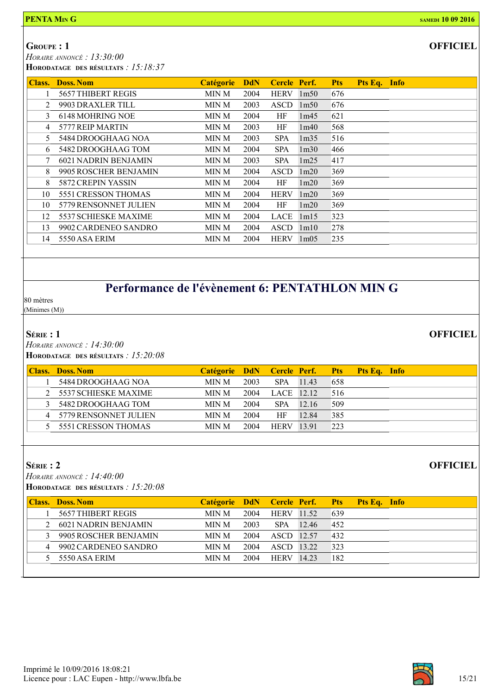**OFFICIEL** 

**OFFICIEL** 

GROUPE : 1  *HORAIRE ANNONCÉ : 13:30:00* HORODATAGE DES RÉSULTATS *: 15:18:37*

| Class. | <b>Doss. Nom</b>            | <b>Catégorie</b> | <b>DdN</b> | Cercle Perf. |                  | <b>Pts</b> | Pts Eq. Info |  |
|--------|-----------------------------|------------------|------------|--------------|------------------|------------|--------------|--|
|        | 5657 THIBERT REGIS          | MIN M            | 2004       | <b>HERV</b>  | 1m50             | 676        |              |  |
| 2      | 9903 DRAXLER TILL           | MIN M            | 2003       | <b>ASCD</b>  | 1 <sub>m50</sub> | 676        |              |  |
| 3      | 6148 MOHRING NOE            | MIN M            | 2004       | HF           | 1m45             | 621        |              |  |
| 4      | 5777 REIP MARTIN            | MIN M            | 2003       | HF           | 1m40             | 568        |              |  |
| 5      | 5484 DROOGHAAG NOA          | MIN M            | 2003       | <b>SPA</b>   | 1m35             | 516        |              |  |
| 6      | 5482 DROOGHAAG TOM          | MIN M            | 2004       | <b>SPA</b>   | 1 <sub>m30</sub> | 466        |              |  |
| 7      | <b>6021 NADRIN BENJAMIN</b> | MIN M            | 2003       | <b>SPA</b>   | 1m25             | 417        |              |  |
| 8      | 9905 ROSCHER BENJAMIN       | MIN M            | 2004       | <b>ASCD</b>  | 1m20             | 369        |              |  |
| 8      | 5872 CREPIN YASSIN          | MIN M            | 2004       | HF           | 1m20             | 369        |              |  |
| 10     | 5551 CRESSON THOMAS         | MIN M            | 2004       | <b>HERV</b>  | 1m20             | 369        |              |  |
| 10     | 5779 RENSONNET JULIEN       | MIN M            | 2004       | HF           | 1m20             | 369        |              |  |
| 12     | <b>5537 SCHIESKE MAXIME</b> | MIN M            | 2004       | LACE         | 1m15             | 323        |              |  |
| 13     | 9902 CARDENEO SANDRO        | MIN M            | 2004       | <b>ASCD</b>  | 1m10             | 278        |              |  |
| 14     | 5550 ASA ERIM               | MIN M            | 2004       | <b>HERV</b>  | $1 \text{m} 05$  | 235        |              |  |

# Performance de l'évènement 6: PENTATHLON MIN G

80 mètres (Minimes (M))

#### Série : 1

 *HORAIRE ANNONCÉ : 14:30:00* HORODATAGE DES RÉSULTATS *: 15:20:08*

| <b>Class. Doss. Nom</b> | Catégorie DdN Cercle Perf. Pts Pts Eq. Info |      |                   |       |     |  |
|-------------------------|---------------------------------------------|------|-------------------|-------|-----|--|
| 5484 DROOGHAAG NOA      | MIN M                                       | 2003 | SPA 11.43         |       | 658 |  |
| 2 5537 SCHIESKE MAXIME  | MIN M                                       | 2004 | LACE 12.12        |       | 516 |  |
| 3 5482 DROOGHAAG TOM    | MIN M                                       | 2004 | SPA 12.16         |       | 509 |  |
| 4 5779 RENSONNET JULIEN | MIN M                                       | 2004 | HF                | 12.84 | 385 |  |
| 5 5551 CRESSON THOMAS   | MIN M                                       | 2004 | <b>HERV</b> 13.91 |       | 223 |  |

#### SÉRIE : 2

 *HORAIRE ANNONCÉ : 14:40:00* HORODATAGE DES RÉSULTATS *: 15:20:08*

| <b>Class. Doss. Nom</b> | Catégorie DdN Cercle Perf. Pts Pts Eq. Info |      |                   |     |  |
|-------------------------|---------------------------------------------|------|-------------------|-----|--|
| 5657 THIBERT REGIS      | MIN M                                       | 2004 | <b>HERV</b> 11.52 | 639 |  |
| 2 6021 NADRIN BENJAMIN  | MIN M                                       | 2003 | SPA 12.46         | 452 |  |
| 3 9905 ROSCHER BENJAMIN | MIN M                                       | 2004 | ASCD 12.57        | 432 |  |
| 4 9902 CARDENEO SANDRO  | MIN M                                       | 2004 | ASCD 13.22        | 323 |  |
| 5 5550 ASA ERIM         | MIN M                                       | 2004 | <b>HERV</b> 14.23 | 182 |  |
|                         |                                             |      |                   |     |  |

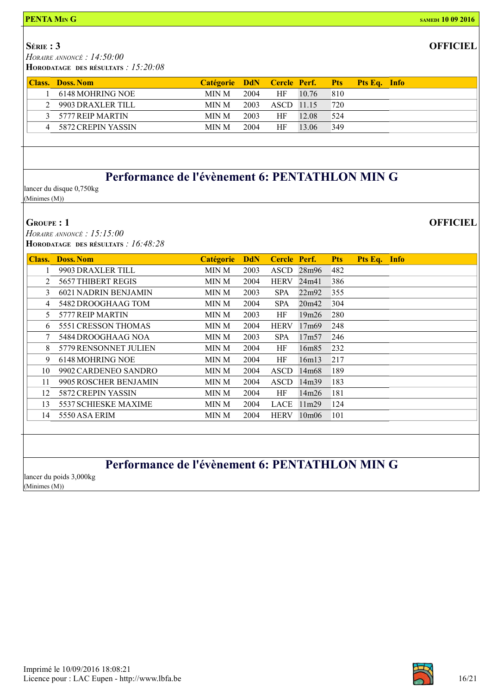#### **PENTA MIN G** SAMEDI 10 09 2016

### **OFFICIEL**

**OFFICIEL** 

 SÉRIE : 3  *HORAIRE ANNONCÉ : 14:50:00* HORODATAGE DES RÉSULTATS *: 15:20:08*

|             | <b>Class. Doss. Nom</b> | Catégorie DdN Cercle Perf. Pts |      |            |       |     | <b>Pts Eq.</b> Info |  |
|-------------|-------------------------|--------------------------------|------|------------|-------|-----|---------------------|--|
|             | 6148 MOHRING NOE        | MIN M                          | 2004 | <b>HF</b>  | 10.76 | 810 |                     |  |
| $2^{\circ}$ | 9903 DRAXLER TILL       | MIN M                          | 2003 | ASCD 11.15 |       | 720 |                     |  |
|             | 3 5777 REIP MARTIN      | MIN M                          | 2003 | HF         | 12.08 | 524 |                     |  |
|             | 4 5872 CREPIN YASSIN    | MIN M                          | 2004 | ΗF         | 13.06 | 349 |                     |  |
|             |                         |                                |      |            |       |     |                     |  |

# Performance de l'évènement 6: PENTATHLON MIN G

lancer du disque 0,750kg (Minimes (M))

GROUPE : 1

 *HORAIRE ANNONCÉ : 15:15:00* HORODATAGE DES RÉSULTATS *: 16:48:28*

| Class.      | <b>Doss. Nom</b>            | <b>Catégorie</b> | <b>DdN</b> | Cercle Perf. |                    | <b>Pts</b> | Pts Eq. Info |  |
|-------------|-----------------------------|------------------|------------|--------------|--------------------|------------|--------------|--|
|             | 9903 DRAXLER TILL           | MIN M            | 2003       | ASCD         | 28m96              | 482        |              |  |
| $2^{\circ}$ | <b>5657 THIBERT REGIS</b>   | MIN M            | 2004       | <b>HERV</b>  | 24m41              | 386        |              |  |
| 3           | <b>6021 NADRIN BENJAMIN</b> | MIN M            | 2003       | <b>SPA</b>   | 22m92              | 355        |              |  |
| 4           | 5482 DROOGHAAG TOM          | MIN M            | 2004       | <b>SPA</b>   | 20m42              | 304        |              |  |
| 5           | 5777 REIP MARTIN            | MIN M            | 2003       | HF           | 19m26              | 280        |              |  |
| 6           | 5551 CRESSON THOMAS         | MIN M            | 2004       | <b>HERV</b>  | 17m69              | 248        |              |  |
| 7           | 5484 DROOGHAAG NOA          | MIN M            | 2003       | <b>SPA</b>   | 17m57              | 246        |              |  |
| 8           | 5779 RENSONNET JULIEN       | MIN M            | 2004       | HF           | 16m85              | 232        |              |  |
| 9           | 6148 MOHRING NOE            | MIN M            | 2004       | HF           | 16m13              | 217        |              |  |
| 10          | 9902 CARDENEO SANDRO        | MIN M            | 2004       | <b>ASCD</b>  | 14m68              | 189        |              |  |
| 11          | 9905 ROSCHER BENJAMIN       | MIN M            | 2004       | <b>ASCD</b>  | 14m39              | 183        |              |  |
| 12          | 5872 CREPIN YASSIN          | MIN M            | 2004       | HF           | 14m26              | 181        |              |  |
| 13          | <b>5537 SCHIESKE MAXIME</b> | MIN M            | 2004       | <b>LACE</b>  | 11m29              | 124        |              |  |
| 14          | 5550 ASA ERIM               | MIN M            | 2004       | <b>HERV</b>  | 10 <sub>m</sub> 06 | 101        |              |  |
|             |                             |                  |            |              |                    |            |              |  |
|             |                             |                  |            |              |                    |            |              |  |

### Performance de l'évènement 6: PENTATHLON MIN G

lancer du poids 3,000kg (Minimes (M))

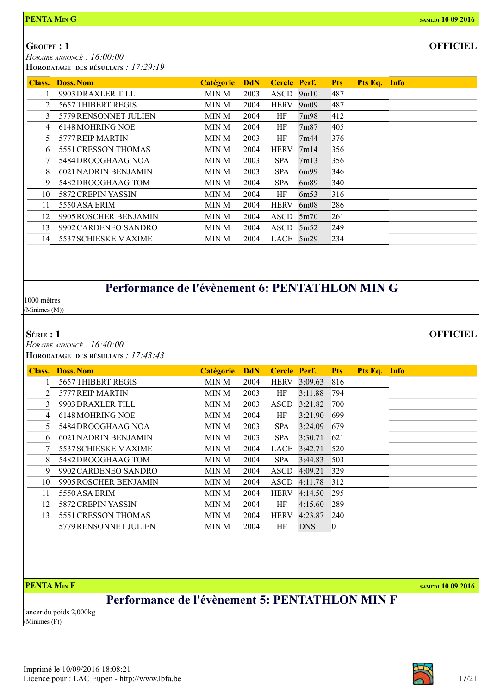**OFFICIEL** 

GROUPE : 1  *HORAIRE ANNONCÉ : 16:00:00* HORODATAGE DES RÉSULTATS *: 17:29:19*

| <b>Class.</b>  | <b>Doss, Nom</b>            | <b>Catégorie</b> | <b>DdN</b> | Cercle Perf. |                  | <b>Pts</b> | Pts Eq. Info |  |
|----------------|-----------------------------|------------------|------------|--------------|------------------|------------|--------------|--|
|                | 9903 DRAXLER TILL           | MIN M            | 2003       | <b>ASCD</b>  | 9m10             | 487        |              |  |
| 2              | <b>5657 THIBERT REGIS</b>   | MIN M            | 2004       | <b>HERV</b>  | 9m09             | 487        |              |  |
| $\mathcal{E}$  | 5779 RENSONNET JULIEN       | MIN M            | 2004       | HF           | 7m98             | 412        |              |  |
| $\overline{4}$ | 6148 MOHRING NOE            | MIN M            | 2004       | HF           | 7 <sub>m87</sub> | 405        |              |  |
| 5              | 5777 REIP MARTIN            | MIN M            | 2003       | HF           | 7m44             | 376        |              |  |
| 6              | 5551 CRESSON THOMAS         | MIN M            | 2004       | <b>HERV</b>  | 7m14             | 356        |              |  |
|                | 5484 DROOGHAAG NOA          | MIN M            | 2003       | <b>SPA</b>   | 7m13             | 356        |              |  |
| 8              | <b>6021 NADRIN BENJAMIN</b> | MIN M            | 2003       | <b>SPA</b>   | 6m99             | 346        |              |  |
| 9              | 5482 DROOGHAAG TOM          | MIN M            | 2004       | <b>SPA</b>   | 6m89             | 340        |              |  |
| 10             | 5872 CREPIN YASSIN          | MIN M            | 2004       | HF           | 6m53             | 316        |              |  |
| 11             | 5550 ASA ERIM               | MIN M            | 2004       | <b>HERV</b>  | 6m08             | 286        |              |  |
| 12             | 9905 ROSCHER BENJAMIN       | MIN M            | 2004       | ASCD         | 5m70             | 261        |              |  |
| 13             | 9902 CARDENEO SANDRO        | MIN M            | 2004       | ASCD         | 5m52             | 249        |              |  |
| 14             | <b>5537 SCHIESKE MAXIME</b> | MIN M            | 2004       | LACE         | 5m29             | 234        |              |  |

# Performance de l'évènement 6: PENTATHLON MIN G

1000 mètres (Minimes (M))

#### SÉRIE : 1

 *HORAIRE ANNONCÉ : 16:40:00* HORODATAGE DES RÉSULTATS *: 17:43:43*

| <b>Class.</b> | <b>Doss. Nom</b>            | <b>Catégorie</b> | <b>DdN</b> | Cercle Perf. |              | <b>Pts</b> | Pts Eq. Info |  |
|---------------|-----------------------------|------------------|------------|--------------|--------------|------------|--------------|--|
|               | 5657 THIBERT REGIS          | MIN M            | 2004       | <b>HERV</b>  | 3:09.63      | 816        |              |  |
| 2             | 5777 REIP MARTIN            | MIN M            | 2003       | HF           | 3:11.88      | 794        |              |  |
| 3             | 9903 DRAXLER TILL           | MIN M            | 2003       | ASCD         | 3:21.82      | 700        |              |  |
| 4             | 6148 MOHRING NOE            | MIN M            | 2004       | HF           | 3:21.90      | 699        |              |  |
| 5.            | 5484 DROOGHAAG NOA          | MIN M            | 2003       | <b>SPA</b>   | 3:24.09      | 679        |              |  |
| 6             | <b>6021 NADRIN BENJAMIN</b> | MIN M            | 2003       | <b>SPA</b>   | 3:30.71      | 621        |              |  |
|               | 5537 SCHIESKE MAXIME        | MIN M            | 2004       |              | LACE 3:42.71 | 520        |              |  |
| 8             | 5482 DROOGHAAG TOM          | MIN M            | 2004       | <b>SPA</b>   | 3:44.83      | 503        |              |  |
| 9             | 9902 CARDENEO SANDRO        | MIN M            | 2004       | ASCD         | 4:09.21      | 329        |              |  |
| 10            | 9905 ROSCHER BENJAMIN       | MIN M            | 2004       | ASCD         | 4:11.78      | 312        |              |  |
| 11            | 5550 ASA ERIM               | MIN M            | 2004       | <b>HERV</b>  | 4:14.50      | 295        |              |  |
| 12            | 5872 CREPIN YASSIN          | MIN M            | 2004       | HF           | 4:15.60      | 289        |              |  |
| 13            | 5551 CRESSON THOMAS         | MIN M            | 2004       | <b>HERV</b>  | 4:23.87      | 240        |              |  |
|               | 5779 RENSONNET JULIEN       | MIN M            | 2004       | HF           | <b>DNS</b>   | $\theta$   |              |  |

**PENTA MIN F** SAMEDI 10 09 2016

# Performance de l'évènement 5: PENTATHLON MIN F

lancer du poids 2,000kg (Minimes (F))

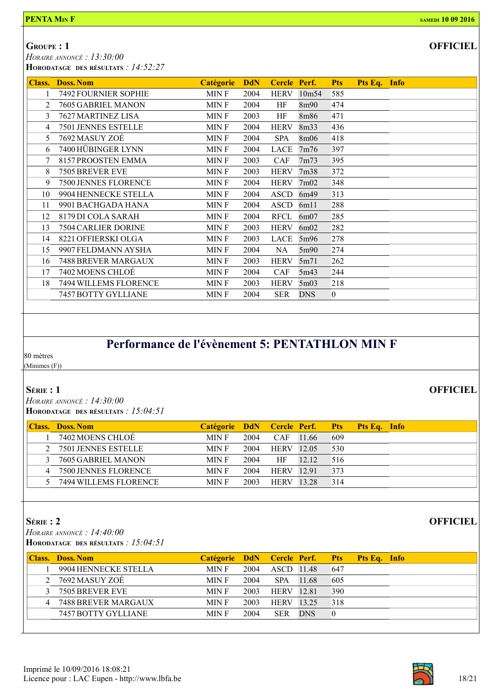**OFFICIEL** 

**OFFICIEL** 

GROUPE : 1  *HORAIRE ANNONCÉ : 13:30:00* HORODATAGE DES RÉSULTATS *: 14:52:27*

| Class. | <b>Doss. Nom</b>      | <b>Catégorie</b> | <b>DdN</b> | <b>Cercle Perf.</b> |            | <b>Pts</b>     | Pts Eq. Info |  |
|--------|-----------------------|------------------|------------|---------------------|------------|----------------|--------------|--|
|        | 7492 FOURNIER SOPHIE  | MIN F            | 2004       | <b>HERV</b>         | 10m54      | 585            |              |  |
| 2      | 7605 GABRIEL MANON    | MIN F            | 2004       | HF                  | 8m90       | 474            |              |  |
| 3      | 7627 MARTINEZ LISA    | MIN F            | 2003       | HF                  | 8m86       | 471            |              |  |
| 4      | 7501 JENNES ESTELLE   | MIN F            | 2004       | <b>HERV</b>         | 8m33       | 436            |              |  |
| 5.     | 7692 MASUY ZOÉ        | MIN F            | 2004       | <b>SPA</b>          | 8m06       | 418            |              |  |
| 6      | 7400 HÜBINGER LYNN    | MIN F            | 2004       | LACE                | 7m76       | 397            |              |  |
| 7      | 8157 PROOSTEN EMMA    | MIN F            | 2003       | <b>CAF</b>          | 7m73       | 395            |              |  |
| 8      | 7505 BREVER EVE       | MIN F            | 2003       | <b>HERV</b>         | 7m38       | 372            |              |  |
| 9      | 7500 JENNES FLORENCE  | MIN F            | 2004       | <b>HERV</b>         | 7m02       | 348            |              |  |
| 10     | 9904 HENNECKE STELLA  | MIN F            | 2004       | <b>ASCD</b>         | 6m49       | 313            |              |  |
| 11     | 9901 BACHGADA HANA    | MIN F            | 2004       | <b>ASCD</b>         | 6m11       | 288            |              |  |
| 12     | 8179 DI COLA SARAH    | MIN F            | 2004       | RFCL                | 6m07       | 285            |              |  |
| 13     | 7504 CARLIER DORINE   | MIN F            | 2003       | <b>HERV</b>         | 6m02       | 282            |              |  |
| 14     | 8221 OFFIERSKI OLGA   | MIN F            | 2003       | <b>LACE</b>         | 5m96       | 278            |              |  |
| 15     | 9907 FELDMANN AYSHA   | MIN F            | 2004       | NA                  | 5m90       | 274            |              |  |
| 16     | 7488 BREVER MARGAUX   | MIN F            | 2003       | <b>HERV</b>         | 5m71       | 262            |              |  |
| 17     | 7402 MOENS CHLOE      | MIN F            | 2004       | <b>CAF</b>          | 5m43       | 244            |              |  |
| 18     | 7494 WILLEMS FLORENCE | MIN F            | 2003       | <b>HERV</b>         | 5m03       | 218            |              |  |
|        | 7457 BOTTY GYLLIANE   | MIN F            | 2004       | <b>SER</b>          | <b>DNS</b> | $\overline{0}$ |              |  |

# Performance de l'évènement 5: PENTATHLON MIN F

80 mètres (Minimes (F))

#### SÉRIE : 1

 *HORAIRE ANNONCÉ : 14:30:00* HORODATAGE DES RÉSULTATS *: 15:04:51*

| <b>Class. Doss. Nom</b> |       |      |                   |       |     | Catégorie DdN Cercle Perf. Pts Pts Eq. Info |
|-------------------------|-------|------|-------------------|-------|-----|---------------------------------------------|
| 7402 MOENS CHLOË        | MIN F | 2004 | CAF 11.66         |       | 609 |                                             |
| 2 7501 JENNES ESTELLE   | MIN F | 2004 | <b>HERV</b> 12.05 |       | 530 |                                             |
| 3 7605 GABRIEL MANON    | MIN F | 2004 | HF                | 12.12 | 516 |                                             |
| 4 7500 JENNES FLORENCE  | MIN F | 2004 | <b>HERV</b> 12.91 |       | 373 |                                             |
| 7494 WILLEMS FLORENCE   | MIN F | 2003 | <b>HERV</b> 13.28 |       | 314 |                                             |

#### SÉRIE : 2

 *HORAIRE ANNONCÉ : 14:40:00* HORODATAGE DES RÉSULTATS *: 15:04:51*

| <b>Class. Doss. Nom</b> | Catégorie DdN Cercle Perf. Pts Pts Eq. Info |      |                   |            |     |  |
|-------------------------|---------------------------------------------|------|-------------------|------------|-----|--|
| 9904 HENNECKE STELLA    | MIN F                                       | 2004 | ASCD 11.48        |            | 647 |  |
| $2-7692$ MASUY ZOE      | MIN F                                       | 2004 | SPA 11.68         |            | 605 |  |
| 3 7505 BREVER EVE       | MIN F                                       | 2003 | <b>HERV</b> 12.81 |            | 390 |  |
| 4 7488 BREVER MARGAUX   | MIN F                                       | 2003 | <b>HERV</b> 13.25 |            | 318 |  |
| 7457 BOTTY GYLLIANE     | MIN F                                       | 2004 | <b>SER</b>        | <b>DNS</b> |     |  |

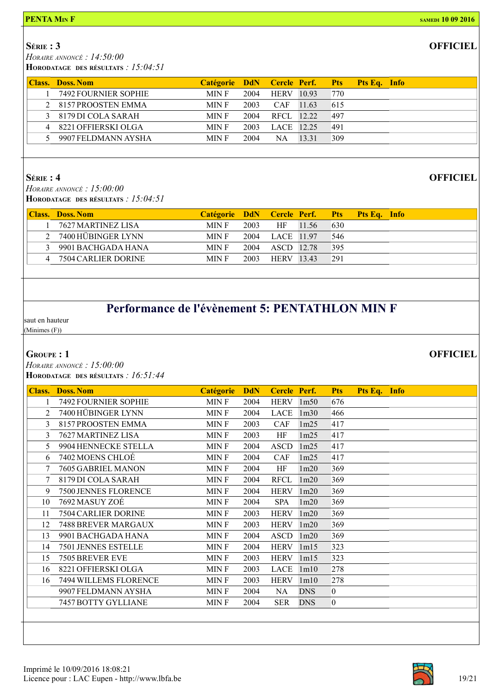#### **PENTA MIN F** SAMEDI 10 09 2016

#### SÉRIE : 3

 *HORAIRE ANNONCÉ : 14:50:00* HORODATAGE DES RÉSULTATS *: 15:04:51*

| <b>Class.</b> Doss, Nom | Catégorie DdN Cercle Perf. Pts Pts Eq. Info |      |                   |       |     |  |
|-------------------------|---------------------------------------------|------|-------------------|-------|-----|--|
| 7492 FOURNIER SOPHIE    | MIN F                                       | 2004 | <b>HERV</b> 10.93 |       | 770 |  |
| 2 8157 PROOSTEN EMMA    | MIN F                                       | 2003 | CAF 11.63         |       | 615 |  |
| 3 8179 DI COLA SARAH    | MIN F                                       | 2004 | RFCL 12.22        |       | 497 |  |
| 4 8221 OFFIERSKI OLGA   | MIN F                                       | 2003 | LACE 12.25        |       | 491 |  |
| 5 9907 FELDMANN AYSHA   | MIN F                                       | 2004 | NA.               | 13.31 | 309 |  |

#### SÉRIE : 4

 *HORAIRE ANNONCÉ : 15:00:00* HORODATAGE DES RÉSULTATS *: 15:04:51*

| <b>Class.</b> Doss. Nom | Catégorie DdN Cercle Perf. Pts Pts Eq. Info |      |                   |     |  |
|-------------------------|---------------------------------------------|------|-------------------|-----|--|
| 7627 MARTINEZ LISA      | MIN F                                       | 2003 | HF 11.56          | 630 |  |
| 2 7400 HÜBINGER LYNN    | MIN F                                       | 2004 | LACE 11.97        | 546 |  |
| 3 9901 BACHGADA HANA    | MIN F                                       | 2004 | ASCD 12.78        | 395 |  |
| 4 7504 CARLIER DORINE   | MIN F                                       | 2003 | <b>HERV</b> 13.43 | 291 |  |

# Performance de l'évènement 5: PENTATHLON MIN F

saut en hauteur (Minimes (F))

#### GROUPE : 1

 *HORAIRE ANNONCÉ : 15:00:00* HORODATAGE DES RÉSULTATS *: 16:51:44*

Imprimé le 10/09/2016 18:08:21

| Class.         | <b>Doss. Nom</b>      | <b>Catégorie</b> | <b>DdN</b> | <b>Cercle Perf.</b> |                  | <b>Pts</b>     | Pts Eq. Info |  |
|----------------|-----------------------|------------------|------------|---------------------|------------------|----------------|--------------|--|
|                | 7492 FOURNIER SOPHIE  | MIN F            | 2004       | HERV 1m50           |                  | 676            |              |  |
| $\overline{2}$ | 7400 HÜBINGER LYNN    | MIN F            | 2004       | LACE                | 1 <sub>m30</sub> | 466            |              |  |
| 3              | 8157 PROOSTEN EMMA    | MIN F            | 2003       | CAF                 | 1m25             | 417            |              |  |
| 3              | 7627 MARTINEZ LISA    | MIN F            | 2003       | HF                  | 1m25             | 417            |              |  |
| 5              | 9904 HENNECKE STELLA  | MIN F            | 2004       | <b>ASCD</b>         | 1m25             | 417            |              |  |
| 6              | 7402 MOENS CHLOÉ      | MIN F            | 2004       | CAF                 | 1m25             | 417            |              |  |
|                | 7605 GABRIEL MANON    | MIN F            | 2004       | HF                  | 1 <sub>m20</sub> | 369            |              |  |
|                | 8179 DI COLA SARAH    | MIN F            | 2004       | RFCL                | 1m20             | 369            |              |  |
| 9              | 7500 JENNES FLORENCE  | MIN F            | 2004       | <b>HERV</b>         | 1 <sub>m20</sub> | 369            |              |  |
| 10             | 7692 MASUY ZOÉ        | MIN F            | 2004       | <b>SPA</b>          | 1m20             | 369            |              |  |
| 11             | 7504 CARLIER DORINE   | MIN F            | 2003       | <b>HERV</b>         | 1m20             | 369            |              |  |
| 12             | 7488 BREVER MARGAUX   | MIN F            | 2003       | <b>HERV</b>         | 1m20             | 369            |              |  |
| 13             | 9901 BACHGADA HANA    | MIN F            | 2004       | ASCD                | 1m20             | 369            |              |  |
| 14             | 7501 JENNES ESTELLE   | MIN F            | 2004       | <b>HERV</b>         | 1m15             | 323            |              |  |
| 15             | 7505 BREVER EVE       | MIN F            | 2003       | <b>HERV</b>         | 1m15             | 323            |              |  |
| 16             | 8221 OFFIERSKI OLGA   | MIN F            | 2003       | LACE                | 1m10             | 278            |              |  |
| 16             | 7494 WILLEMS FLORENCE | MIN F            | 2003       | <b>HERV</b>         | 1m10             | 278            |              |  |
|                | 9907 FELDMANN AYSHA   | MIN F            | 2004       | NA                  | <b>DNS</b>       | $\overline{0}$ |              |  |
|                | 7457 BOTTY GYLLIANE   | MIN F            | 2004       | <b>SER</b>          | <b>DNS</b>       | $\overline{0}$ |              |  |
|                |                       |                  |            |                     |                  |                |              |  |



#### **OFFICIEL**

### **OFFICIEL**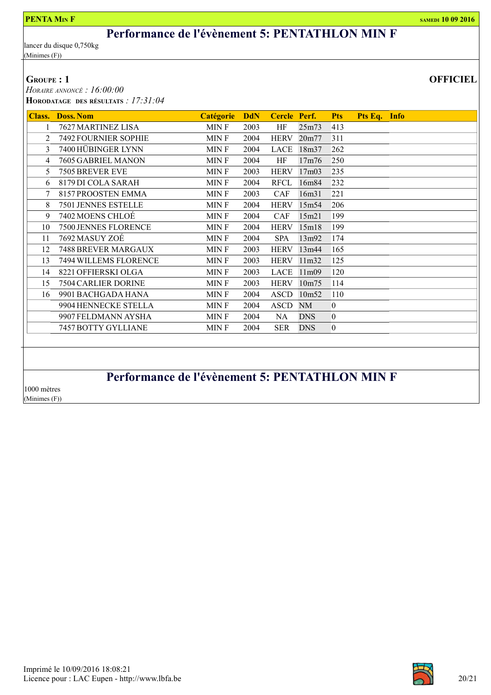### Performance de l'évènement 5: PENTATHLON MIN F

lancer du disque 0,750kg (Minimes (F))

#### GROUPE : 1

 *HORAIRE ANNONCÉ : 16:00:00* HORODATAGE DES RÉSULTATS *: 17:31:04*

| <b>Class.</b>  | <b>Doss. Nom</b>      | <b>Catégorie</b> | <b>DdN</b> | Cercle Perf. |            | <b>Pts</b>     | Pts Eq. Info |  |
|----------------|-----------------------|------------------|------------|--------------|------------|----------------|--------------|--|
| 1              | 7627 MARTINEZ LISA    | MIN F            | 2003       | HF           | 25m73      | 413            |              |  |
| $2^{\circ}$    | 7492 FOURNIER SOPHIE  | MIN F            | 2004       | <b>HERV</b>  | 20m77      | 311            |              |  |
| $\mathcal{E}$  | 7400 HÜBINGER LYNN    | MIN F            | 2004       | LACE         | 18m37      | 262            |              |  |
| $\overline{4}$ | 7605 GABRIEL MANON    | MIN F            | 2004       | HF           | 17m76      | 250            |              |  |
| 5              | 7505 BREVER EVE       | MIN F            | 2003       | <b>HERV</b>  | 17m03      | 235            |              |  |
| 6              | 8179 DI COLA SARAH    | MIN F            | 2004       | <b>RFCL</b>  | 16m84      | 232            |              |  |
| 7              | 8157 PROOSTEN EMMA    | MIN F            | 2003       | <b>CAF</b>   | 16m31      | 221            |              |  |
|                | 7501 JENNES ESTELLE   | MIN F            | 2004       | <b>HERV</b>  | 15m54      | 206            |              |  |
| 9              | 7402 MOENS CHLOÉ      | MIN F            | 2004       | CAF          | 15m21      | 199            |              |  |
| 10             | 7500 JENNES FLORENCE  | MIN F            | 2004       | <b>HERV</b>  | 15m18      | 199            |              |  |
| 11             | 7692 MASUY ZOÉ        | MIN F            | 2004       | <b>SPA</b>   | 13m92      | 174            |              |  |
| 12             | 7488 BREVER MARGAUX   | MIN F            | 2003       | <b>HERV</b>  | 13m44      | 165            |              |  |
| 13             | 7494 WILLEMS FLORENCE | MIN F            | 2003       | <b>HERV</b>  | 11m32      | 125            |              |  |
| 14             | 8221 OFFIERSKI OLGA   | MIN F            | 2003       | LACE         | 11m09      | 120            |              |  |
| 15             | 7504 CARLIER DORINE   | MIN F            | 2003       | <b>HERV</b>  | 10m75      | 114            |              |  |
| 16             | 9901 BACHGADA HANA    | MIN F            | 2004       | ASCD         | 10m52      | 110            |              |  |
|                | 9904 HENNECKE STELLA  | MIN F            | 2004       | <b>ASCD</b>  | NM         | $\overline{0}$ |              |  |
|                | 9907 FELDMANN AYSHA   | MIN F            | 2004       | NA.          | <b>DNS</b> | $\overline{0}$ |              |  |
|                | 7457 BOTTY GYLLIANE   | MIN F            | 2004       | <b>SER</b>   | <b>DNS</b> | $\mathbf{0}$   |              |  |
|                |                       |                  |            |              |            |                |              |  |

## Performance de l'évènement 5: PENTATHLON MIN F

1000 mètres (Minimes (F))